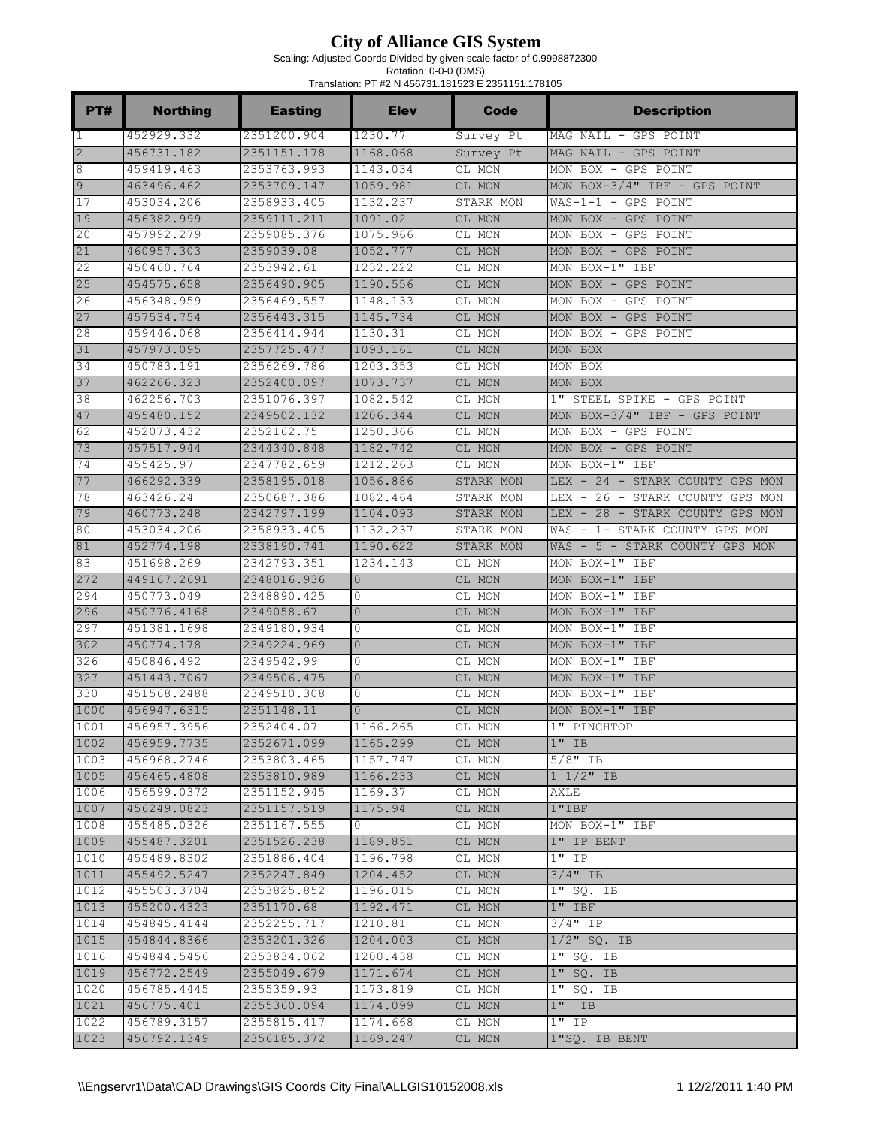Scaling: Adjusted Coords Divided by given scale factor of 0.9998872300

| PT#            | <b>Northing</b>            | <b>Easting</b>             | <b>Elev</b>    | <b>Code</b>      | <b>Description</b>              |
|----------------|----------------------------|----------------------------|----------------|------------------|---------------------------------|
| $\mathbf{1}$   | 452929.332                 | 2351200.904                | 1230.77        | Survey Pt        | MAG NAIL - GPS POINT            |
| $\overline{2}$ | 456731.182                 | 2351151.178                | 1168.068       | Survey Pt        | MAG NAIL - GPS POINT            |
| 8              | 459419.463                 | 2353763.993                | 1143.034       | CL MON           | MON BOX - GPS POINT             |
| 9              | 463496.462                 | 2353709.147                | 1059.981       | CL MON           | MON BOX-3/4" IBF - GPS POINT    |
| 17             | 453034.206                 | 2358933.405                | 1132.237       | STARK MON        | $WAS-1-1 - GPS$ POINT           |
| 19             | 456382.999                 | 2359111.211                | 1091.02        | CL MON           | MON BOX - GPS POINT             |
| 20             | 457992.279                 | 2359085.376                | 1075.966       | CL MON           | MON BOX - GPS POINT             |
| 21             | 460957.303                 | 2359039.08                 | 1052.777       | CL MON           | MON BOX - GPS POINT             |
| 22             | 450460.764                 | 2353942.61                 | 1232.222       | CL MON           | MON BOX-1" IBF                  |
| 25             | 454575.658                 | 2356490.905                | 1190.556       | CL MON           | MON BOX - GPS POINT             |
| 26             | 456348.959                 | 2356469.557                | 1148.133       | CL MON           | MON BOX - GPS POINT             |
| 27             | 457534.754                 | 2356443.315                | 1145.734       | CL MON           | MON BOX - GPS POINT             |
| 28             | 459446.068                 | 2356414.944                | 1130.31        | CL MON           | MON BOX - GPS POINT             |
| 31             | 457973.095                 | 2357725.477                | 1093.161       | CL MON           | MON BOX                         |
| 34             | 450783.191                 | 2356269.786                | 1203.353       | CL MON           | MON BOX                         |
| 37             | 462266.323                 | 2352400.097                | 1073.737       | CL MON           | MON BOX                         |
| 38             | 462256.703                 | 2351076.397                | 1082.542       | CL MON           | 1" STEEL SPIKE - GPS POINT      |
| 47             | 455480.152                 | 2349502.132                | 1206.344       | CL MON           | MON BOX-3/4" IBF - GPS POINT    |
| 62             | 452073.432                 | 2352162.75                 | 1250.366       | CL MON           | MON BOX - GPS POINT             |
| 73             | 457517.944                 | 2344340.848                | 1182.742       | CL MON           | MON BOX - GPS POINT             |
| 74             | 455425.97                  | 2347782.659                | 1212.263       | CL MON           | MON BOX-1" IBF                  |
| 77             | 466292.339                 | 2358195.018                | 1056.886       | STARK MON        | LEX - 24 - STARK COUNTY GPS MON |
| 78             | 463426.24                  | 2350687.386                | 1082.464       | STARK MON        | LEX - 26 - STARK COUNTY GPS MON |
| 79             | 460773.248                 | 2342797.199                | 1104.093       | STARK MON        | LEX - 28 - STARK COUNTY GPS MON |
| 80             | 453034.206                 | 2358933.405                | 1132.237       | STARK MON        | WAS - 1- STARK COUNTY GPS MON   |
| 81             | 452774.198                 | 2338190.741                | 1190.622       | STARK MON        | WAS - 5 - STARK COUNTY GPS MON  |
| 83             | 451698.269                 | 2342793.351                | 1234.143       | CL MON           | MON BOX-1" IBF                  |
| 272            | 449167.2691                | 2348016.936                | $\overline{0}$ | CL MON           | MON BOX-1" IBF                  |
| 294            | 450773.049                 | 2348890.425                | 0              | CL MON           | MON BOX-1" IBF                  |
| 296            | 450776.4168                | 2349058.67                 | $\overline{0}$ | CL MON           | MON BOX-1" IBF                  |
| 297            | 451381.1698                | 2349180.934                | 0              | CL MON           | MON BOX-1" IBF                  |
| 302            | 450774.178                 | 2349224.969                | $\overline{0}$ | CL MON           | MON BOX-1" IBF                  |
| 326            | 450846.492                 | 2349542.99                 | 0              | CL MON           | MON BOX-1" IBF                  |
| 327            | 451443.7067                | 2349506.475                | $\overline{0}$ | CL MON           | MON BOX-1" IBF                  |
| 330            | 451568.2488                | 2349510.308                | 0              | CL MON           | MON BOX-1" IBF                  |
| 1000           | 456947.6315                | 2351148.11                 | $\overline{0}$ | CL MON           | MON BOX-1" IBF                  |
| 1001           | 456957.3956                | 2352404.07                 | 1166.265       | CL MON           | 1" PINCHTOP                     |
| 1002           | 456959.7735                | 2352671.099                | 1165.299       | CL MON           | $1"$ IB                         |
| 1003           | 456968.2746                | 2353803.465                | 1157.747       | CL MON           | $5/8"$ IB                       |
| 1005           | 456465.4808                | 2353810.989                | 1166.233       | CL MON           | $1 \ 1/2$ " IB                  |
| 1006<br>1007   | 456599.0372                | 2351152.945                | 1169.37        | CL MON           | AXLE                            |
|                | 456249.0823<br>455485.0326 | 2351157.519                | 1175.94        | CL MON           | 1"IBF                           |
| 1008<br>1009   | 455487.3201                | 2351167.555<br>2351526.238 | 0<br>1189.851  | CL MON           | MON BOX-1" IBF<br>1" IP BENT    |
| 1010           | 455489.8302                | 2351886.404                | 1196.798       | CL MON<br>CL MON | 1" IP                           |
| 1011           | 455492.5247                | 2352247.849                | 1204.452       | CL MON           | $3/4"$ IB                       |
| 1012           | 455503.3704                | 2353825.852                | 1196.015       | CL MON           | 1" SQ. IB                       |
| 1013           | 455200.4323                | 2351170.68                 | 1192.471       | CL MON           | $1"$ IBF                        |
| 1014           | 454845.4144                | 2352255.717                | 1210.81        | CL MON           | $3/4$ " IP                      |
| 1015           | 454844.8366                | 2353201.326                | 1204.003       | CL MON           | $1/2$ " SQ. IB                  |
| 1016           | 454844.5456                | 2353834.062                | 1200.438       | CL MON           | 1" SQ. IB                       |
| 1019           | 456772.2549                | 2355049.679                | 1171.674       | CL MON           | $1"$ SQ. IB                     |
| 1020           | 456785.4445                | 2355359.93                 | 1173.819       | CL MON           | $1"$ SQ. IB                     |
| 1021           | 456775.401                 | 2355360.094                | 1174.099       | CL MON           | $1"$ IB                         |
| 1022           | 456789.3157                | 2355815.417                | 1174.668       | CL MON           | $1"$ IP                         |
| 1023           | 456792.1349                | 2356185.372                | 1169.247       | CL MON           | 1"SQ. IB BENT                   |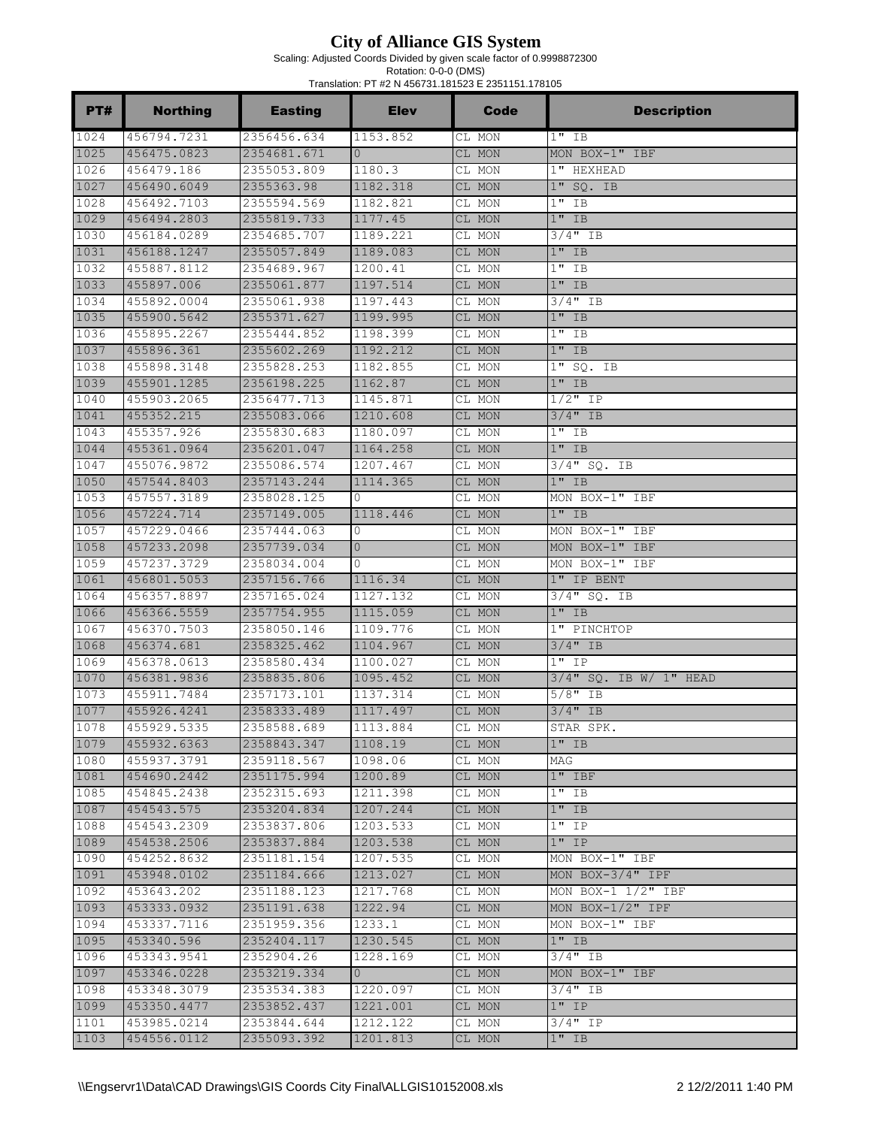Scaling: Adjusted Coords Divided by given scale factor of 0.9998872300

Rotation: 0-0-0 (DMS)

| Translation: PT #2 N 456731.181523 E 2351151.178105 |                            |                            |                      |                  |                           |  |
|-----------------------------------------------------|----------------------------|----------------------------|----------------------|------------------|---------------------------|--|
| PT#                                                 | <b>Northing</b>            | <b>Easting</b>             | <b>Elev</b>          | Code             | <b>Description</b>        |  |
| 1024                                                | 456794.7231                | 2356456.634                | 1153.852             | CL MON           | $1"$ IB                   |  |
| 1025                                                | 456475.0823                | 2354681.671                | $\Omega$             | CL MON           | MON BOX-1" IBF            |  |
| 1026                                                | 456479.186                 | 2355053.809                | 1180.3               | CL MON           | 1" HEXHEAD                |  |
| 1027                                                | 456490.6049                | 2355363.98                 | 1182.318             | CL MON           | 1" SO. IB                 |  |
| 1028                                                | 456492.7103                | 2355594.569                | 1182.821             | CL MON           | $1"$ IB                   |  |
| 1029                                                | 456494.2803                | 2355819.733                | 1177.45              | CL MON           | $1"$ IB                   |  |
| 1030                                                | 456184.0289                | 2354685.707                | 1189.221             | CL MON           | $3/4$ " IB                |  |
| 1031                                                | 456188.1247                | 2355057.849                | 1189.083             | CL MON           | $1"$ IB                   |  |
| 1032                                                | 455887.8112                | 2354689.967                | 1200.41              | CL MON           | $1"$ IB                   |  |
| 1033                                                | 455897.006                 | 2355061.877                | 1197.514             | CL MON           | $1"$ IB                   |  |
| 1034                                                | 455892.0004                | 2355061.938                | 1197.443             | CL MON           | $3/4"$ IB                 |  |
| 1035                                                | 455900.5642                | 2355371.627                | 1199.995             | CL MON           | $1"$ IB                   |  |
| 1036                                                | 455895.2267                | 2355444.852                | 1198.399             | CL MON           | $1"$ IB                   |  |
| 1037                                                | 455896.361                 | 2355602.269                | 1192.212             | CL MON           | $1"$ IB                   |  |
| 1038                                                | 455898.3148                | 2355828.253                | 1182.855             | CL MON           | $1"$ SQ. IB               |  |
| 1039                                                | 455901.1285                | 2356198.225                | 1162.87              | CL MON           | $1"$ IB                   |  |
| 1040                                                | 455903.2065                | 2356477.713                | 1145.871             | CL MON           | $1/2$ " IP                |  |
| 1041                                                | 455352.215                 | 2355083.066                | 1210.608             | CL MON           | $3/4"$ IB                 |  |
| 1043                                                | 455357.926                 | 2355830.683                | 1180.097             | CL MON           | $1"$ IB                   |  |
| 1044                                                | 455361.0964                | 2356201.047                | 1164.258             | CL MON           | $1"$ IB                   |  |
| 1047                                                | 455076.9872                | 2355086.574                | 1207.467             | CL MON           | $3/4$ " SQ. IB            |  |
| 1050                                                | 457544.8403                | 2357143.244                | 1114.365             | CL MON           | $1"$ IB                   |  |
| 1053                                                | 457557.3189                | 2358028.125                | 0                    | CL MON           | MON BOX-1" IBF            |  |
| 1056                                                | 457224.714                 | 2357149.005                | 1118.446             | CL MON           | $1"$ IB                   |  |
| 1057                                                | 457229.0466                | 2357444.063                | 0                    | CL MON           | MON BOX-1" IBF            |  |
| 1058                                                | 457233.2098                | 2357739.034                | $\mathbf{0}$         | CL MON           | MON BOX-1" IBF            |  |
| 1059                                                | 457237.3729                | 2358034.004                | $\Omega$             | CL MON           | MON BOX-1" IBF            |  |
| 1061                                                | 456801.5053                | 2357156.766                | 1116.34              | CL MON           | 1" IP BENT                |  |
| 1064                                                | 456357.8897                | 2357165.024                | 1127.132             | CL MON           | $3/4$ " SQ. IB<br>$1"$ IB |  |
| 1066<br>1067                                        | 456366.5559<br>456370.7503 | 2357754.955                | 1115.059<br>1109.776 | CL MON           |                           |  |
| 1068                                                | 456374.681                 | 2358050.146<br>2358325.462 |                      | CL MON<br>CL MON | 1" PINCHTOP<br>$3/4$ " IB |  |
| 1069                                                | 456378.0613                |                            | 1104.967<br>1100.027 |                  | $1"$ IP                   |  |
| 1070                                                | 456381.9836                | 2358580.434<br>2358835.806 | 1095.452             | CL MON<br>CL MON | $3/4"$ SQ. IB W/ 1" HEAD  |  |
| 1073                                                | 455911.7484                | 2357173.101                | 1137.314             |                  | $5/8"$ IB                 |  |
| 1077                                                | 455926.4241                | 2358333.489                | 1117.497             | CL MON<br>CL MON | $3/4"$ IB                 |  |
| 1078                                                | 455929.5335                | 2358588.689                | 1113.884             | CL MON           | STAR SPK.                 |  |
| 1079                                                | 455932.6363                | 2358843.347                | 1108.19              | CL MON           | $1"$ IB                   |  |
| 1080                                                | 455937.3791                | 2359118.567                | 1098.06              | CL MON           | MAG                       |  |
| 1081                                                | 454690.2442                | 2351175.994                | 1200.89              | CL MON           | $1"$ IBF                  |  |
| 1085                                                | 454845.2438                | 2352315.693                | 1211.398             | CL MON           | $1"$ IB                   |  |
| 1087                                                | 454543.575                 | 2353204.834                | 1207.244             | CL MON           | $1"$ IB                   |  |
| 1088                                                | 454543.2309                | 2353837.806                | 1203.533             | CL MON           | $1"$ IP                   |  |
| 1089                                                | 454538.2506                | 2353837.884                | 1203.538             | CL MON           | $1"$ IP                   |  |
| 1090                                                | 454252.8632                | 2351181.154                | 1207.535             | CL MON           | MON BOX-1" IBF            |  |
| 1091                                                | 453948.0102                | 2351184.666                | 1213.027             | CL MON           | MON BOX-3/4" IPF          |  |
| 1092                                                | 453643.202                 | 2351188.123                | 1217.768             | CL MON           | MON BOX-1 $1/2$ " IBF     |  |
| 1093                                                | 453333.0932                | 2351191.638                | 1222.94              | CL MON           | MON BOX- $1/2$ " IPF      |  |
| 1094                                                | 453337.7116                | 2351959.356                | 1233.1               | CL MON           | MON BOX-1" IBF            |  |
| 1095                                                | 453340.596                 | 2352404.117                | 1230.545             | CL MON           | $1"$ IB                   |  |
| 1096                                                | 453343.9541                | 2352904.26                 | 1228.169             | CL MON           | $3/4$ " IB                |  |
| 1097                                                | 453346.0228                | 2353219.334                | $\Omega$             | CL MON           | MON BOX-1" IBF            |  |
| 1098                                                | 453348.3079                | 2353534.383                | 1220.097             | CL MON           | $3/4"$ IB                 |  |
| 1099                                                | 453350.4477                | 2353852.437                | 1221.001             | CL MON           | $1"$ IP                   |  |
| 1101                                                | 453985.0214                | 2353844.644                | 1212.122             | CL MON           | $3/4"$ IP                 |  |
| 1103                                                | 454556.0112                | 2355093.392                | 1201.813             | CL MON           | $1"$ IB                   |  |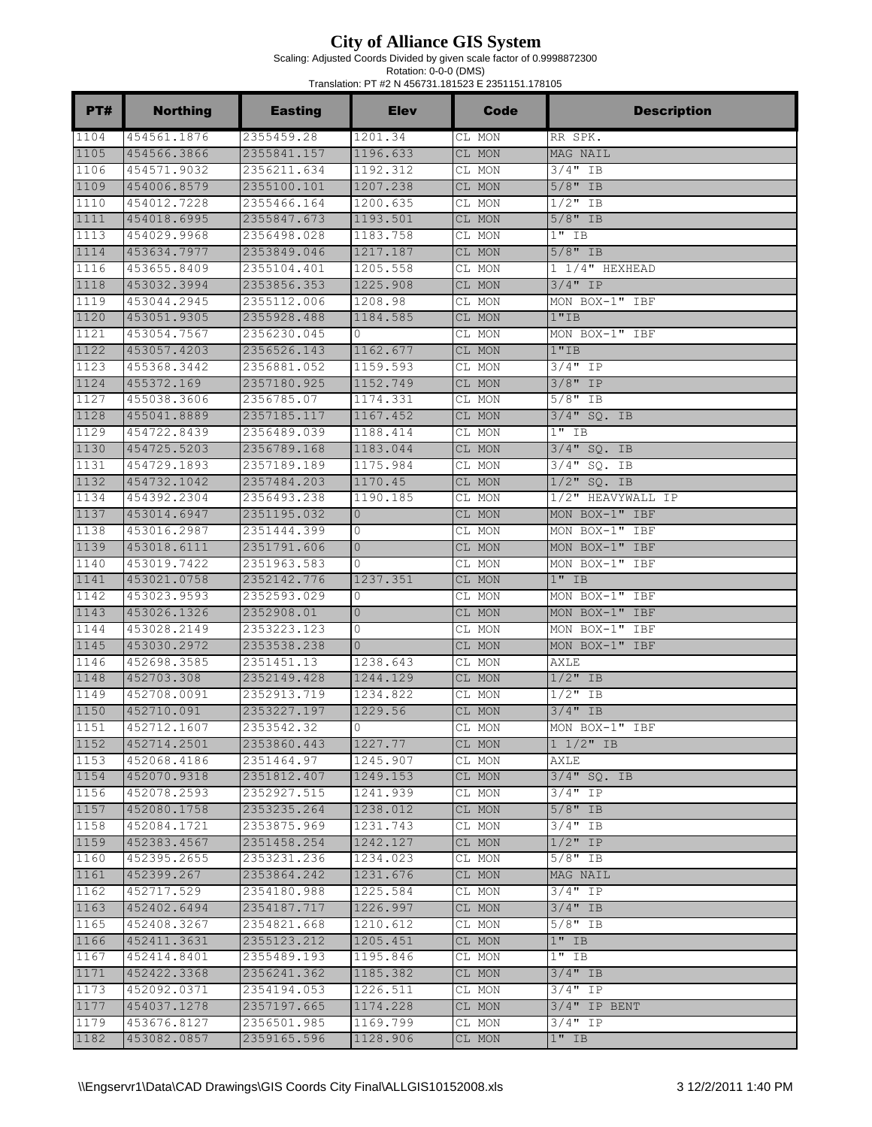Scaling: Adjusted Coords Divided by given scale factor of 0.9998872300

| PT#  | <b>Northing</b> | <b>Easting</b> | <b>Elev</b>    | Code   | <b>Description</b>     |
|------|-----------------|----------------|----------------|--------|------------------------|
| 1104 | 454561.1876     | 2355459.28     | 1201.34        | CL MON | RR SPK.                |
| 1105 | 454566.3866     | 2355841.157    | 1196.633       | CL MON | MAG NAIL               |
| 1106 | 454571.9032     | 2356211.634    | 1192.312       | CL MON | $3/4$ " IB             |
| 1109 | 454006.8579     | 2355100.101    | 1207.238       | CL MON | $5/8"$ IB              |
| 1110 | 454012.7228     | 2355466.164    | 1200.635       | CL MON | $1/2$ " IB             |
| 1111 | 454018.6995     | 2355847.673    | 1193.501       | CL MON | $5/8"$ IB              |
| 1113 | 454029.9968     | 2356498.028    | 1183.758       | CL MON | $1"$ IB                |
| 1114 | 453634.7977     | 2353849.046    | 1217.187       | CL MON | $5/8"$ IB              |
| 1116 | 453655.8409     | 2355104.401    | 1205.558       | CL MON | $1\frac{1}{4}$ HEXHEAD |
| 1118 | 453032.3994     | 2353856.353    | 1225.908       | CL MON | $3/4"$ IP              |
| 1119 | 453044.2945     | 2355112.006    | 1208.98        | CL MON | MON BOX-1" IBF         |
| 1120 | 453051.9305     | 2355928.488    | 1184.585       | CL MON | 1"IB                   |
| 1121 | 453054.7567     | 2356230.045    | $\mathbf{0}$   | CL MON | MON BOX-1" IBF         |
| 1122 | 453057.4203     | 2356526.143    | 1162.677       | CL MON | 1"IB                   |
| 1123 | 455368.3442     | 2356881.052    | 1159.593       | CL MON | 3/4" IP                |
| 1124 | 455372.169      | 2357180.925    | 1152.749       | CL MON | $3/8"$ IP              |
| 1127 | 455038.3606     | 2356785.07     | 1174.331       | CL MON | 5/8" IB                |
| 1128 | 455041.8889     | 2357185.117    | 1167.452       | CL MON | $3/4$ " SQ. IB         |
| 1129 | 454722.8439     | 2356489.039    | 1188.414       | CL MON | $1"$ IB                |
| 1130 | 454725.5203     | 2356789.168    | 1183.044       | CL MON | $3/4"$ SO. IB          |
| 1131 | 454729.1893     | 2357189.189    | 1175.984       | CL MON | $3/4$ "<br>SQ.<br>IB   |
| 1132 | 454732.1042     | 2357484.203    | 1170.45        | CL MON | $1/2$ "<br>SQ. IB      |
| 1134 | 454392.2304     | 2356493.238    | 1190.185       | CL MON | 1/2" HEAVYWALL IP      |
| 1137 | 453014.6947     | 2351195.032    | $\overline{0}$ | CL MON | MON BOX-1" IBF         |
| 1138 | 453016.2987     | 2351444.399    | 0              | CL MON | MON BOX-1" IBF         |
| 1139 | 453018.6111     | 2351791.606    | $\overline{0}$ | CL MON | MON BOX-1" IBF         |
| 1140 | 453019.7422     | 2351963.583    | 0              | CL MON | MON BOX-1" IBF         |
| 1141 | 453021.0758     | 2352142.776    | 1237.351       | CL MON | $1"$ IB                |
| 1142 | 453023.9593     | 2352593.029    | 0              | CL MON | MON BOX-1" IBF         |
| 1143 | 453026.1326     | 2352908.01     | $\circ$        | CL MON | MON BOX-1" IBF         |
| 1144 | 453028.2149     | 2353223.123    | 0              | CL MON | MON BOX-1" IBF         |
| 1145 | 453030.2972     | 2353538.238    | $\Omega$       | CL MON | MON BOX-1" IBF         |
| 1146 | 452698.3585     | 2351451.13     | 1238.643       | CL MON | <b>AXLE</b>            |
| 1148 | 452703.308      | 2352149.428    | 1244.129       | CL MON | $1/2$ " IB             |
| 1149 | 452708.0091     | 2352913.719    | 1234.822       | CL MON | $1/2$ " IB             |
| 1150 | 452710.091      | 2353227.197    | 1229.56        | CL MON | $3/4"$ IB              |
| 1151 | 452712.1607     | 2353542.32     | $\Omega$       | CL MON | MON BOX-1" IBF         |
| 1152 | 452714.2501     | 2353860.443    | 1227.77        | CL MON | $1 \frac{1}{2}$ TB     |
| 1153 | 452068.4186     | 2351464.97     | 1245.907       | CL MON | AXLE                   |
| 1154 | 452070.9318     | 2351812.407    | 1249.153       | CL MON | 3/4" SQ. IB            |
| 1156 | 452078.2593     | 2352927.515    | 1241.939       | CL MON | $3/4"$ IP              |
| 1157 | 452080.1758     | 2353235.264    | 1238.012       | CL MON | $5/8"$ IB              |
| 1158 | 452084.1721     | 2353875.969    | 1231.743       | CL MON | $3/4"$ IB              |
| 1159 | 452383.4567     | 2351458.254    | 1242.127       | CL MON | $1/2$ " IP             |
| 1160 | 452395.2655     | 2353231.236    | 1234.023       | CL MON | $5/8"$ IB              |
| 1161 | 452399.267      | 2353864.242    | 1231.676       | CL MON | MAG NAIL               |
| 1162 | 452717.529      | 2354180.988    | 1225.584       | CL MON | $3/4$ " IP             |
| 1163 | 452402.6494     | 2354187.717    | 1226.997       | CL MON | $3/4"$ IB              |
| 1165 | 452408.3267     | 2354821.668    | 1210.612       | CL MON | $5/8"$ IB              |
| 1166 | 452411.3631     | 2355123.212    | 1205.451       | CL MON | $1"$ IB                |
| 1167 | 452414.8401     | 2355489.193    | 1195.846       | CL MON | $1"$ IB                |
| 1171 | 452422.3368     | 2356241.362    | 1185.382       | CL MON | 3/4" IB                |
| 1173 | 452092.0371     | 2354194.053    | 1226.511       | CL MON | 3/4" IP                |
| 1177 | 454037.1278     | 2357197.665    | 1174.228       | CL MON | $3/4"$ IP BENT         |
| 1179 | 453676.8127     | 2356501.985    | 1169.799       | CL MON | $3/4"$ IP              |
| 1182 | 453082.0857     | 2359165.596    | 1128.906       | CL MON | $1"$ IB                |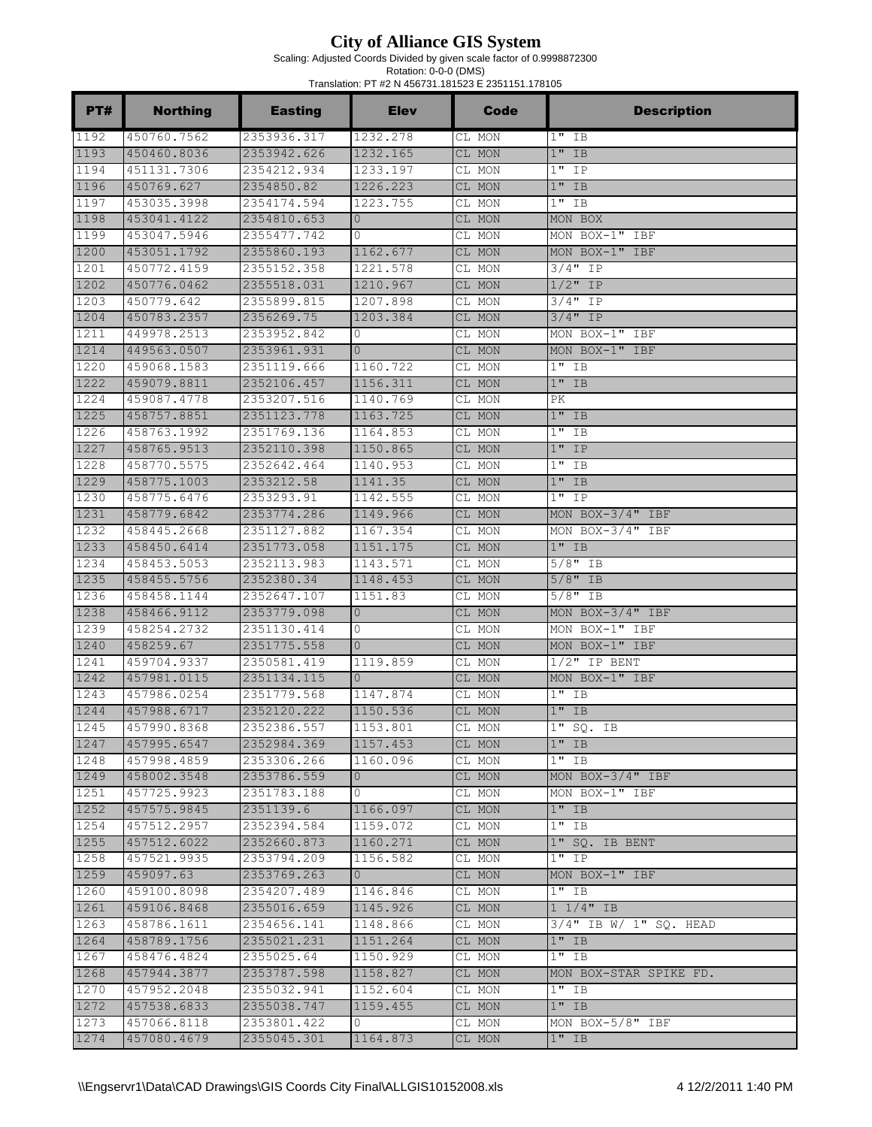Scaling: Adjusted Coords Divided by given scale factor of 0.9998872300

| PT#  | <b>Northing</b> | <b>Easting</b> | <b>Elev</b>    | Code   | <b>Description</b>       |
|------|-----------------|----------------|----------------|--------|--------------------------|
| 1192 | 450760.7562     | 2353936.317    | 1232.278       | CL MON | $1"$ IB                  |
| 1193 | 450460.8036     | 2353942.626    | 1232.165       | CL MON | $1"$ IB                  |
| 1194 | 451131.7306     | 2354212.934    | 1233.197       | CL MON | $1"$ IP                  |
| 1196 | 450769.627      | 2354850.82     | 1226.223       | CL MON | $1"$ IB                  |
| 1197 | 453035.3998     | 2354174.594    | 1223.755       | CL MON | $1"$ IB                  |
| 1198 | 453041.4122     | 2354810.653    | $\overline{0}$ | CL MON | MON BOX                  |
| 1199 | 453047.5946     | 2355477.742    | 0              | CL MON | MON BOX-1" IBF           |
| 1200 | 453051.1792     | 2355860.193    | 1162.677       | CL MON | MON BOX-1" IBF           |
| 1201 | 450772.4159     | 2355152.358    | 1221.578       | CL MON | $3/4$ " IP               |
| 1202 | 450776.0462     | 2355518.031    | 1210.967       | CL MON | $1/2$ " IP               |
| 1203 | 450779.642      | 2355899.815    | 1207.898       | CL MON | $3/4"$ IP                |
| 1204 | 450783.2357     | 2356269.75     | 1203.384       | CL MON | $3/4$ " IP               |
| 1211 | 449978.2513     | 2353952.842    | $\mathbf{0}$   | CL MON | MON BOX-1" IBF           |
| 1214 | 449563.0507     | 2353961.931    | $\overline{0}$ | CL MON | MON BOX-1" IBF           |
| 1220 | 459068.1583     | 2351119.666    | 1160.722       | CL MON | $1"$ IB                  |
| 1222 | 459079.8811     | 2352106.457    | 1156.311       | CL MON | $1"$ IB                  |
| 1224 | 459087.4778     | 2353207.516    | 1140.769       | CL MON | PК                       |
| 1225 | 458757.8851     | 2351123.778    | 1163.725       | CL MON | $1"$ IB                  |
| 1226 | 458763.1992     | 2351769.136    | 1164.853       | CL MON | $1$ "<br>ΙB              |
| 1227 | 458765.9513     | 2352110.398    | 1150.865       | CL MON | $1"$ IP                  |
| 1228 | 458770.5575     | 2352642.464    | 1140.953       | CL MON | $1"$ IB                  |
| 1229 | 458775.1003     | 2353212.58     | 1141.35        | CL MON | $1"$ IB                  |
| 1230 | 458775.6476     | 2353293.91     | 1142.555       | CL MON | $1"$ IP                  |
| 1231 | 458779.6842     | 2353774.286    | 1149.966       | CL MON | MON BOX-3/4" IBF         |
| 1232 | 458445.2668     | 2351127.882    | 1167.354       | CL MON | MON BOX-3/4" IBF         |
| 1233 | 458450.6414     | 2351773.058    | 1151.175       | CL MON | $1"$ IB                  |
| 1234 | 458453.5053     | 2352113.983    | 1143.571       | CL MON | $5/8"$ IB                |
| 1235 | 458455.5756     | 2352380.34     | 1148.453       | CL MON | $5/8"$ IB                |
| 1236 | 458458.1144     | 2352647.107    | 1151.83        | CL MON | $5/8"$ IB                |
| 1238 | 458466.9112     | 2353779.098    | $\overline{0}$ | CL MON | MON BOX-3/4" IBF         |
| 1239 | 458254.2732     | 2351130.414    | 0              | CL MON | MON BOX-1" IBF           |
| 1240 | 458259.67       | 2351775.558    | $\Omega$       | CL MON | MON BOX-1" IBF           |
| 1241 | 459704.9337     | 2350581.419    | 1119.859       | CL MON | $1/2$ " IP BENT          |
| 1242 | 457981.0115     | 2351134.115    | $\Omega$       | CL MON | MON BOX-1" IBF           |
| 1243 | 457986.0254     | 2351779.568    | 1147.874       | CL MON | $1"$ IB                  |
| 1244 | 457988.6717     | 2352120.222    | 1150.536       | CL MON | $1"$ IB                  |
| 1245 | 457990.8368     | 2352386.557    | 1153.801       | CL MON | 1" SO. IB                |
| 1247 | 457995.6547     | 2352984.369    | 1157.453       | CL MON | $1"$ IB                  |
| 1248 | 457998.4859     | 2353306.266    | 1160.096       | CL MON | $1"$ IB                  |
| 1249 | 458002.3548     | 2353786.559    | $\overline{0}$ | CL MON | MON BOX-3/4" IBF         |
| 1251 | 457725.9923     | 2351783.188    | $\circ$        | CL MON | MON BOX-1" IBF           |
| 1252 | 457575.9845     | 2351139.6      | 1166.097       | CL MON | $1"$ IB                  |
| 1254 | 457512.2957     | 2352394.584    | 1159.072       | CL MON | $1"$ IB                  |
| 1255 | 457512.6022     | 2352660.873    | 1160.271       | CL MON | 1" SQ. IB BENT           |
| 1258 | 457521.9935     | 2353794.209    | 1156.582       | CL MON | $1"$ IP                  |
| 1259 | 459097.63       | 2353769.263    | $\overline{0}$ | CL MON | MON BOX-1" IBF           |
| 1260 | 459100.8098     | 2354207.489    | 1146.846       | CL MON | $1"$ IB                  |
| 1261 | 459106.8468     | 2355016.659    | 1145.926       | CL MON | $1 \frac{1}{4}$ IB       |
| 1263 | 458786.1611     | 2354656.141    | 1148.866       | CL MON | $3/4"$ IB W/ 1" SQ. HEAD |
| 1264 | 458789.1756     | 2355021.231    | 1151.264       | CL MON | $1"$ IB                  |
| 1267 | 458476.4824     | 2355025.64     | 1150.929       | CL MON | $1"$ IB                  |
| 1268 | 457944.3877     | 2353787.598    | 1158.827       | CL MON | MON BOX-STAR SPIKE FD.   |
| 1270 | 457952.2048     | 2355032.941    | 1152.604       | CL MON | $1"$ IB                  |
| 1272 | 457538.6833     | 2355038.747    | 1159.455       | CL MON | $1"$ IB                  |
| 1273 | 457066.8118     | 2353801.422    |                |        | MON BOX-5/8" IBF         |
| 1274 |                 |                | U              | CL MON | $1"$ IB                  |
|      | 457080.4679     | 2355045.301    | 1164.873       | CL MON |                          |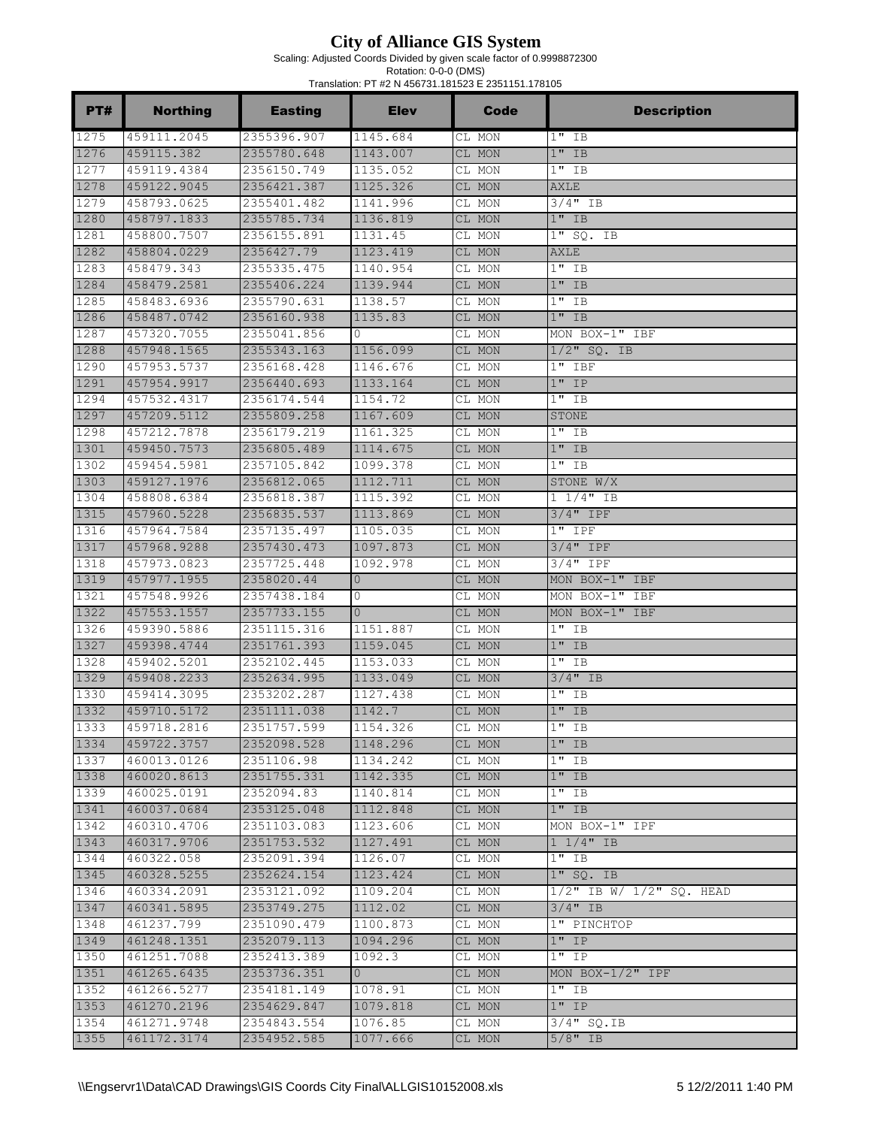Scaling: Adjusted Coords Divided by given scale factor of 0.9998872300

| PT#          | <b>Northing</b>            | <b>Easting</b>             | <b>Elev</b>          | Code             | <b>Description</b>                            |
|--------------|----------------------------|----------------------------|----------------------|------------------|-----------------------------------------------|
| 1275         | 459111.2045                | 2355396.907                | 1145.684             | CL MON           | $1"$ IB                                       |
| 1276         | 459115.382                 | 2355780.648                | 1143.007             | CL MON           | $1"$ IB                                       |
| 1277         | 459119.4384                | 2356150.749                | 1135.052             | CL MON           | $1"$ IB                                       |
| 1278         | 459122.9045                | 2356421.387                | 1125.326             | CL MON           | AXLE                                          |
| 1279         | 458793.0625                | 2355401.482                | 1141.996             | CL MON           | 3/4" IB                                       |
| 1280         | 458797.1833                | 2355785.734                | 1136.819             | CL MON           | $1"$ IB                                       |
| 1281         | 458800.7507                | 2356155.891                | 1131.45              | CL MON           | 1" SQ. IB                                     |
| 1282         | 458804.0229                | 2356427.79                 | 1123.419             | CL MON           | <b>AXLE</b>                                   |
| 1283         | 458479.343                 | 2355335.475                | 1140.954             | CL MON           | $1"$ IB                                       |
| 1284         | 458479.2581                | 2355406.224                | 1139.944             | CL MON           | $1"$ IB                                       |
| 1285         | 458483.6936                | 2355790.631                | 1138.57              | CL MON           | $1"$ IB                                       |
| 1286         | 458487.0742                | 2356160.938                | 1135.83              | CL MON           | $1"$ IB                                       |
| 1287         | 457320.7055                | 2355041.856                | 0                    | CL MON           | MON BOX-1" IBF                                |
| 1288         | 457948.1565                | 2355343.163                | 1156.099             | CL MON           | $1/2$ " SQ. IB                                |
| 1290         | 457953.5737                | 2356168.428                | 1146.676             | CL MON           | $1"$ IBF                                      |
| 1291<br>1294 | 457954.9917<br>457532.4317 | 2356440.693                | 1133.164             | CL MON           | $1"$ IP<br>$1"$ IB                            |
| 1297         | 457209.5112                | 2356174.544<br>2355809.258 | 1154.72<br>1167.609  | CL MON<br>CL MON | STONE                                         |
| 1298         | 457212.7878                | 2356179.219                | 1161.325             | CL MON           | $1"$ IB                                       |
| 1301         | 459450.7573                | 2356805.489                | 1114.675             | CL MON           | $1"$ IB                                       |
| 1302         | 459454.5981                | 2357105.842                | 1099.378             | CL MON           | $1"$ IB                                       |
| 1303         | 459127.1976                | 2356812.065                | 1112.711             | CL MON           | STONE W/X                                     |
| 1304         | 458808.6384                | 2356818.387                | 1115.392             | CL MON           | $1 1/4"$ IB                                   |
| 1315         | 457960.5228                | 2356835.537                | 1113.869             | CL MON           | 3/4" IPF                                      |
| 1316         | 457964.7584                | 2357135.497                | 1105.035             | CL MON           | $1"$ IPF                                      |
| 1317         | 457968.9288                | 2357430.473                | 1097.873             | CL MON           | $3/4"$ IPF                                    |
| 1318         | 457973.0823                | 2357725.448                | 1092.978             | CL MON           | 3/4" IPF                                      |
| 1319         | 457977.1955                | 2358020.44                 | $\mathbf{0}$         | CL MON           | MON BOX-1" IBF                                |
| 1321         | 457548.9926                | 2357438.184                | 0                    | CL MON           | MON BOX-1" IBF                                |
| 1322         | 457553.1557                | 2357733.155                | $\overline{0}$       | CL MON           | MON BOX-1" IBF                                |
| 1326         | 459390.5886                | 2351115.316                | 1151.887             | CL MON           | $1"$ IB                                       |
| 1327         | 459398.4744                | 2351761.393                | 1159.045             | CL MON           | $1"$ IB                                       |
| 1328         | 459402.5201                | 2352102.445                | 1153.033             | CL MON           | $1"$ IB                                       |
| 1329         | 459408.2233                | 2352634.995                | 1133.049             | CL MON           | $3/4$ " IB                                    |
| 1330         | 459414.3095                | 2353202.287                | 1127.438             | CL MON           | $1"$ IB                                       |
| 1332         | 459710.5172                | 2351111.038                | 1142.7               | CL MON           | $1"$ IB                                       |
| 1333         | 459718.2816                | 2351757.599                | 1154.326             | CL MON           | $1"$ IB                                       |
| 1334         | 459722.3757                | 2352098.528                | 1148.296             | CL MON           | $1"$ IB                                       |
| 1337         | 460013.0126                | 2351106.98                 | 1134.242             | CL MON           | $1"$ IB                                       |
| 1338         | 460020.8613                | 2351755.331                | 1142.335             | CL MON           | $1"$ IB                                       |
| 1339         | 460025.0191                | 2352094.83                 | 1140.814             | CL MON           | $1"$ IB                                       |
| 1341         | 460037.0684                | 2353125.048                | 1112.848             | CL MON           | $1"$ IB                                       |
| 1342         | 460310.4706                | 2351103.083                | 1123.606             | CL MON           | MON BOX-1" IPF                                |
| 1343         | 460317.9706                | 2351753.532                | 1127.491             | CL MON           | $1 \frac{1}{4}$ IB                            |
| 1344<br>1345 | 460322.058                 | 2352091.394                | 1126.07              | CL MON           | $1"$ IB                                       |
| 1346         | 460328.5255<br>460334.2091 | 2352624.154<br>2353121.092 | 1123.424<br>1109.204 | CL MON           | $1"$ SQ. IB<br>$1/2$ " IB W/ $1/2$ " SQ. HEAD |
| 1347         | 460341.5895                | 2353749.275                | 1112.02              | CL MON<br>CL MON | $3/4$ " IB                                    |
| 1348         | 461237.799                 | 2351090.479                | 1100.873             | CL MON           | 1" PINCHTOP                                   |
| 1349         | 461248.1351                | 2352079.113                | 1094.296             | CL MON           | $1"$ IP                                       |
| 1350         | 461251.7088                | 2352413.389                | 1092.3               | CL MON           | $1"$ IP                                       |
| 1351         | 461265.6435                | 2353736.351                | $\overline{0}$       | CL MON           | MON BOX- $1/2$ " IPF                          |
| 1352         | 461266.5277                | 2354181.149                | 1078.91              | CL MON           | $1"$ IB                                       |
| 1353         | 461270.2196                | 2354629.847                | 1079.818             | CL MON           | $1"$ IP                                       |
| 1354         | 461271.9748                | 2354843.554                | 1076.85              | CL MON           | $3/4"$ SQ.IB                                  |
| 1355         | 461172.3174                | 2354952.585                | 1077.666             | CL MON           | $5/8"$ IB                                     |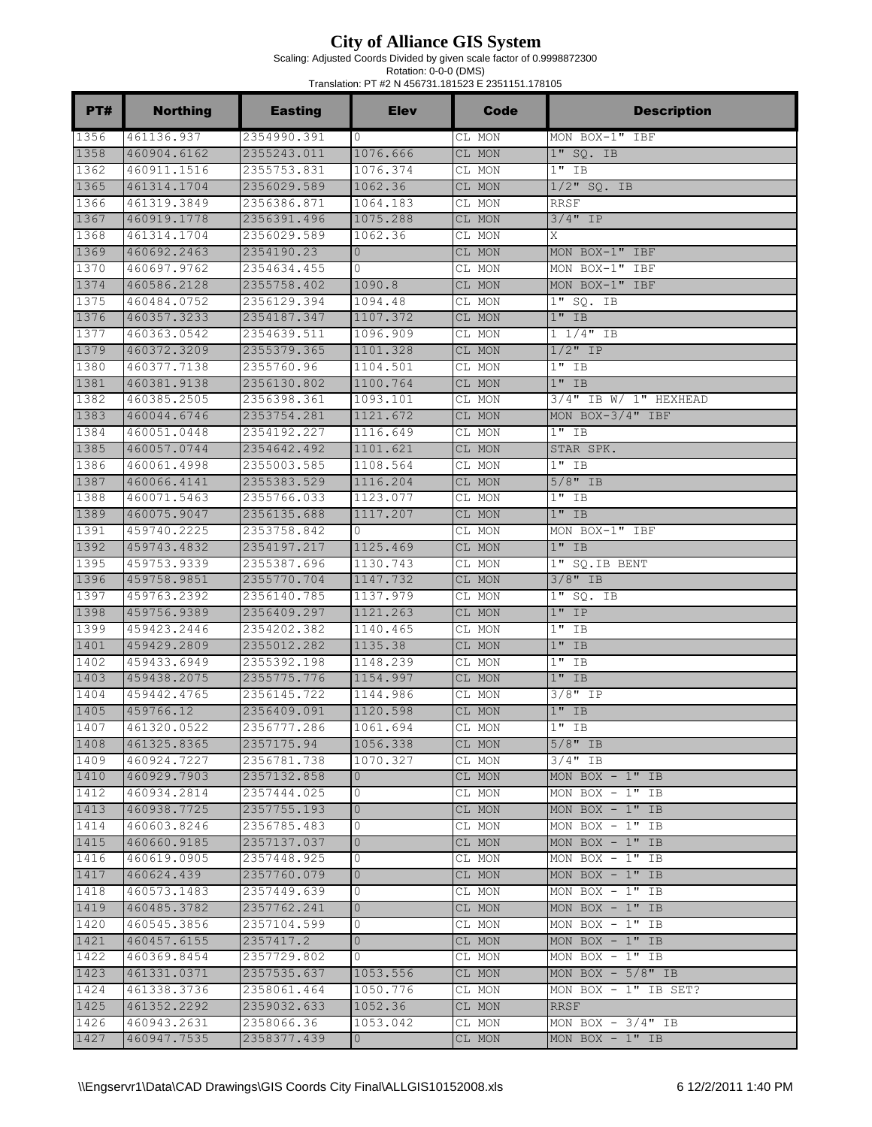Scaling: Adjusted Coords Divided by given scale factor of 0.9998872300

| PT#          | <b>Northing</b>            | <b>Easting</b>             | <b>Elev</b>          | Code             | <b>Description</b>              |
|--------------|----------------------------|----------------------------|----------------------|------------------|---------------------------------|
| 1356         | 461136.937                 | 2354990.391                | $\circ$              | CL MON           | MON BOX-1" IBF                  |
| 1358         | 460904.6162                | 2355243.011                | 1076.666             | CL MON           | $1"$ SQ. IB                     |
| 1362         | 460911.1516                | 2355753.831                | 1076.374             | CL MON           | $1"$ IB                         |
| 1365         | 461314.1704                | 2356029.589                | 1062.36              | CL MON           | $1/2$ " SQ. IB                  |
| 1366         | 461319.3849                | 2356386.871                | 1064.183             | CL MON           | <b>RRSF</b>                     |
| 1367         | 460919.1778                | 2356391.496                | 1075.288             | CL MON           | $3/4$ " IP                      |
| 1368         | 461314.1704                | 2356029.589                | 1062.36              | CL MON           | Χ                               |
| 1369         | 460692.2463                | 2354190.23                 | $\circ$              | CL MON           | MON BOX-1" IBF                  |
| 1370         | 460697.9762                | 2354634.455                | 0                    | CL MON           | MON BOX-1" IBF                  |
| 1374         | 460586.2128                | 2355758.402                | 1090.8               | CL MON           | MON BOX-1" IBF                  |
| 1375         | 460484.0752                | 2356129.394                | 1094.48              | CL MON           | $1"$ SQ. IB                     |
| 1376         | 460357.3233                | 2354187.347                | 1107.372             | CL MON           | $1"$ IB                         |
| 1377         | 460363.0542                | 2354639.511                | 1096.909             | CL MON           | $1 \frac{1}{4}$ IB              |
| 1379         | 460372.3209                | 2355379.365                | 1101.328             | CL MON           | $1/2$ " IP                      |
| 1380         | 460377.7138                | 2355760.96                 | 1104.501             | CL MON           | $1"$ IB                         |
| 1381         | 460381.9138                | 2356130.802                | 1100.764             | CL MON           | $1"$ IB                         |
| 1382         | 460385.2505                | 2356398.361                | 1093.101             | CL MON           | $3/4"$ IB W/ 1" HEXHEAD         |
| 1383         | 460044.6746                | 2353754.281                | 1121.672             | CL MON           | MON BOX-3/4" IBF                |
| 1384         | 460051.0448                | 2354192.227                | 1116.649             | CL MON           | $1"$ IB                         |
| 1385         | 460057.0744                | 2354642.492                | 1101.621             | CL MON           | STAR SPK.                       |
| 1386         | 460061.4998                | 2355003.585                | 1108.564             | CL MON           | $1"$ IB                         |
| 1387         | 460066.4141                | 2355383.529                | 1116.204             | CL MON           | $5/8"$ IB                       |
| 1388<br>1389 | 460071.5463                | 2355766.033                | 1123.077             | CL MON           | $1"$ IB                         |
|              | 460075.9047                | 2356135.688                | 1117.207             | CL MON           | $1"$ IB                         |
| 1391         | 459740.2225                | 2353758.842                | $\Omega$             | CL MON           | MON BOX-1" IBF                  |
| 1392         | 459743.4832                | 2354197.217                | 1125.469             | CL MON           | $1"$ IB                         |
| 1395         | 459753.9339                | 2355387.696                | 1130.743             | CL MON           | 1" SQ. IB BENT                  |
| 1396         | 459758.9851                | 2355770.704                | 1147.732             | CL MON           | $3/8"$ IB                       |
| 1397<br>1398 | 459763.2392<br>459756.9389 | 2356140.785<br>2356409.297 | 1137.979<br>1121.263 | CL MON           | $1"$ SQ. IB<br>$1"$ IP          |
| 1399         | 459423.2446                |                            | 1140.465             | CL MON           |                                 |
| 1401         | 459429.2809                | 2354202.382<br>2355012.282 | 1135.38              | CL MON<br>CL MON | $1"$ IB<br>$1"$ IB              |
| 1402         | 459433.6949                | 2355392.198                | 1148.239             |                  | $1"$ IB                         |
| 1403         | 459438.2075                | 2355775.776                | 1154.997             | CL MON<br>CL MON | $1"$ IB                         |
| 1404         | 459442.4765                | 2356145.722                | 1144.986             | CL MON           | $3/8"$ IP                       |
| 1405         | 459766.12                  | 2356409.091                | 1120.598             | CL MON           | $1"$ IB                         |
| 1407         | 461320.0522                | 2356777.286                | 1061.694             | CL MON           | $1"$ IB                         |
| 1408         | 461325.8365                | 2357175.94                 | 1056.338             | CL MON           | $5/8"$ IB                       |
| 1409         | 460924.7227                | 2356781.738                | 1070.327             | CL MON           | $3/4$ " IB                      |
| 1410         | 460929.7903                | 2357132.858                | $\overline{0}$       | CL MON           | MON BOX $-1"$ IB                |
| 1412         | 460934.2814                | 2357444.025                | 0                    | CL MON           | MON BOX $-1"$ IB                |
| 1413         | 460938.7725                | 2357755.193                | $\overline{0}$       | CL MON           | MON BOX $-1"$ IB                |
| 1414         | 460603.8246                | 2356785.483                | 0                    | CL MON           | MON BOX - $1^{\prime\prime}$ IB |
| 1415         | 460660.9185                | 2357137.037                | $\mathbf{0}$         | CL MON           | MON BOX $-1"$ IB                |
| $1416$       | 460619.0905                | 2357448.925                | 0                    | CL MON           | MON BOX $-1"$ IB                |
| 1417         | 460624.439                 | 2357760.079                | $\overline{0}$       | CL MON           | MON BOX $-1$ " IB               |
| 1418         | 460573.1483                | 2357449.639                | 0                    | CL MON           | MON BOX $-1"$ IB                |
| 1419         | 460485.3782                | 2357762.241                | $\mathbf{0}$         | CL MON           | MON BOX $-1"$ IB                |
| 1420         | 460545.3856                | 2357104.599                | 0                    | CL MON           | MON BOX $-1"$ IB                |
| 1421         | 460457.6155                | 2357417.2                  | $\overline{0}$       | CL MON           | MON BOX $-1"$ IB                |
| 1422         | 460369.8454                | 2357729.802                | $\circ$              | CL MON           | MON BOX $-1$ " IB               |
| 1423         | 461331.0371                | 2357535.637                | 1053.556             | CL MON           | MON BOX $-5/8"$ IB              |
| 1424         | 461338.3736                | 2358061.464                | 1050.776             | CL MON           | MON BOX $-1"$ IB SET?           |
| 1425         | 461352.2292                | 2359032.633                | 1052.36              | CL MON           | RRSF                            |
| 1426         | 460943.2631                | 2358066.36                 | 1053.042             | CL MON           | MON BOX $-3/4"$ IB              |
| 1427         | 460947.7535                | 2358377.439                | $\overline{0}$       | CL MON           | MON $\overline{BOX}$ - 1" IB    |
|              |                            |                            |                      |                  |                                 |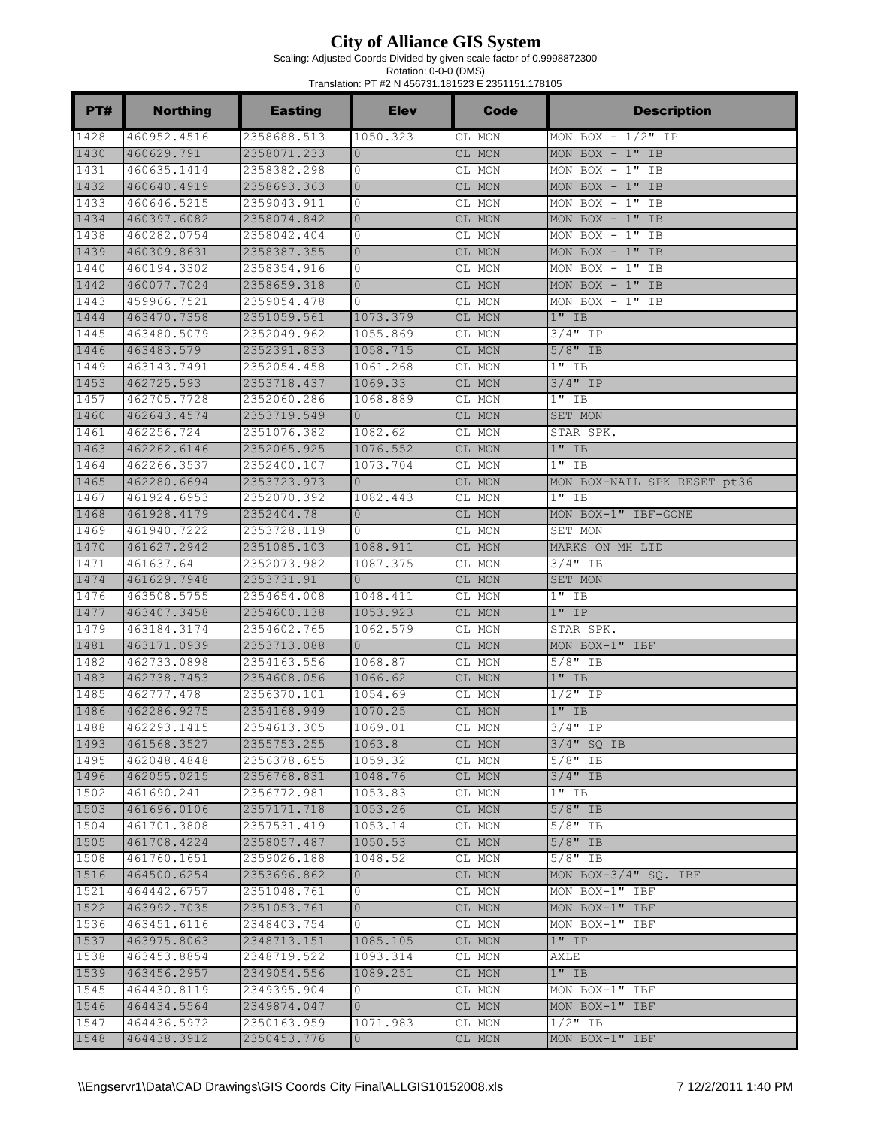Scaling: Adjusted Coords Divided by given scale factor of 0.9998872300

| PT#          | <b>Northing</b>            | <b>Easting</b>             | <b>Elev</b>          | <b>Code</b>      | <b>Description</b>          |
|--------------|----------------------------|----------------------------|----------------------|------------------|-----------------------------|
| 1428         | 460952.4516                | 2358688.513                | 1050.323             | CL MON           | $MON$ BOX - $1/2"$ IP       |
| 1430         | 460629.791                 | 2358071.233                | $\overline{0}$       | CL MON           | MON BOX $-1"$ IB            |
| 1431         | 460635.1414                | 2358382.298                | 0                    | CL MON           | MON BOX $-1"$ IB            |
| 1432         | 460640.4919                | 2358693.363                | $\mathbf{0}$         | CL MON           | MON BOX $-1"$ IB            |
| 1433         | 460646.5215                | 2359043.911                | 0                    | CL MON           | MON BOX $-1"$ IB            |
| 1434         | 460397.6082                | 2358074.842                | $\mathbf{0}$         | CL MON           | MON BOX $-1"$ IB            |
| 1438         | 460282.0754                | 2358042.404                | $\circ$              | CL MON           | MON BOX $-1"$ IB            |
| 1439         | 460309.8631                | 2358387.355                | $\overline{0}$       | CL MON           | MON BOX $-1"$ IB            |
| 1440         | 460194.3302                | 2358354.916                | $\circ$              | CL MON           | MON BOX $-1$ " IB           |
| 1442         | 460077.7024                | 2358659.318                | $\overline{0}$       | CL MON           | MON BOX $-1"$ IB            |
| 1443         | 459966.7521                | 2359054.478                | $\circ$              | CL MON           | MON BOX $-1"$ IB            |
| 1444         | 463470.7358                | 2351059.561                | 1073.379             | CL MON           | $1"$ IB                     |
| 1445         | 463480.5079                | 2352049.962                | 1055.869             | CL MON           | 3/4" IP                     |
| 1446         | 463483.579                 | 2352391.833                | 1058.715             | CL MON           | $5/8$ " IB                  |
| 1449         | 463143.7491                | 2352054.458<br>2353718.437 | 1061.268             | CL MON           | $1"$ IB                     |
| 1453         | 462725.593                 |                            | 1069.33              | CL MON           | $3/4"$ IP                   |
| 1457<br>1460 | 462705.7728<br>462643.4574 | 2352060.286<br>2353719.549 | 1068.889<br>$\Omega$ | CL MON           | $1"$ IB                     |
| 1461         | 462256.724                 | 2351076.382                | 1082.62              | CL MON<br>CL MON | SET MON<br>STAR SPK.        |
| 1463         | 462262.6146                | 2352065.925                | 1076.552             | CL MON           | $1"$ IB                     |
| 1464         | 462266.3537                | 2352400.107                | 1073.704             | CL MON           | $1"$ IB                     |
| 1465         | 462280.6694                | 2353723.973                | $\Omega$             | CL MON           | MON BOX-NAIL SPK RESET pt36 |
| 1467         | 461924.6953                | 2352070.392                | 1082.443             | CL MON           | $1"$ IB                     |
| 1468         | 461928.4179                | 2352404.78                 | $\mathbf{0}$         | CL MON           | MON BOX-1" IBF-GONE         |
| 1469         | 461940.7222                | 2353728.119                | $\Omega$             | CL MON           | SET MON                     |
| 1470         | 461627.2942                | 2351085.103                | 1088.911             | CL MON           | MARKS ON MH LID             |
| 1471         | 461637.64                  | 2352073.982                | 1087.375             | CL MON           | $3/4"$ IB                   |
| 1474         | 461629.7948                | 2353731.91                 | $\Omega$             | CL MON           | SET MON                     |
| 1476         | 463508.5755                | 2354654.008                | 1048.411             | CL MON           | $1"$ IB                     |
| 1477         | 463407.3458                | 2354600.138                | 1053.923             | CL MON           | $1"$ IP                     |
| 1479         | 463184.3174                | 2354602.765                | 1062.579             | CL MON           | STAR SPK.                   |
| 1481         | 463171.0939                | 2353713.088                | $\Omega$             | CL MON           | MON BOX-1" IBF              |
| 1482         | 462733.0898                | 2354163.556                | 1068.87              | CL MON           | $5/8"$ IB                   |
| 1483         | 462738.7453                | 2354608.056                | 1066.62              | CL MON           | $1"$ IB                     |
| 1485         | 462777.478                 | 2356370.101                | 1054.69              | CL MON           | $1/2$ " IP                  |
| 1486         | 462286.9275                | 2354168.949                | 1070.25              | CL MON           | $1"$ IB                     |
| 1488         | 462293.1415                | 2354613.305                | 1069.01              | CL MON           | $3/4"$ IP                   |
| 1493         | 461568.3527                | 2355753.255                | 1063.8               | CL MON           | $3/4"$ SQ IB                |
| 1495         | 462048.4848                | 2356378.655                | 1059.32              | CL MON           | $5/8"$ IB                   |
| 1496         | 462055.0215                | 2356768.831                | 1048.76              | CL MON           | $3/4"$ IB                   |
| 1502         | 461690.241                 | 2356772.981                | 1053.83              | CL MON           | $1"$ IB                     |
| 1503         | 461696.0106                | 2357171.718                | 1053.26              | CL MON           | $5/8"$ IB                   |
| 1504         | 461701.3808                | 2357531.419                | 1053.14              | CL MON           | $5/8"$ IB                   |
| 1505         | 461708.4224                | 2358057.487                | 1050.53              | CL MON           | $5/8"$ IB                   |
| 1508         | 461760.1651                | 2359026.188                | 1048.52              | CL MON           | 5/8" IB                     |
| 1516         | 464500.6254                | 2353696.862                | $\overline{0}$       | CL MON           | MON BOX-3/4" SQ. IBF        |
| 1521         | 464442.6757                | 2351048.761                | 0                    | CL MON           | MON BOX-1" IBF              |
| 1522         | 463992.7035                | 2351053.761                | $\overline{0}$       | CL MON           | MON BOX-1" IBF              |
| 1536         | 463451.6116                | 2348403.754                | $\circ$              | CL MON           | MON BOX-1" IBF              |
| 1537         | 463975.8063                | 2348713.151                | 1085.105             | CL MON           | $1"$ IP                     |
| 1538<br>1539 | 463453.8854<br>463456.2957 | 2348719.522<br>2349054.556 | 1093.314<br>1089.251 | CL MON           | AXLE<br>$1"$ IB             |
| 1545         | 464430.8119                | 2349395.904                | 0                    | CL MON           | MON BOX-1" IBF              |
| 1546         | 464434.5564                | 2349874.047                | $\mathbf{0}$         | CL MON<br>CL MON | MON BOX-1" IBF              |
| 1547         | 464436.5972                | 2350163.959                | 1071.983             | CL MON           | $1/2$ " IB                  |
| 1548         | 464438.3912                | 2350453.776                | $\overline{0}$       | CL MON           | MON BOX-1" IBF              |
|              |                            |                            |                      |                  |                             |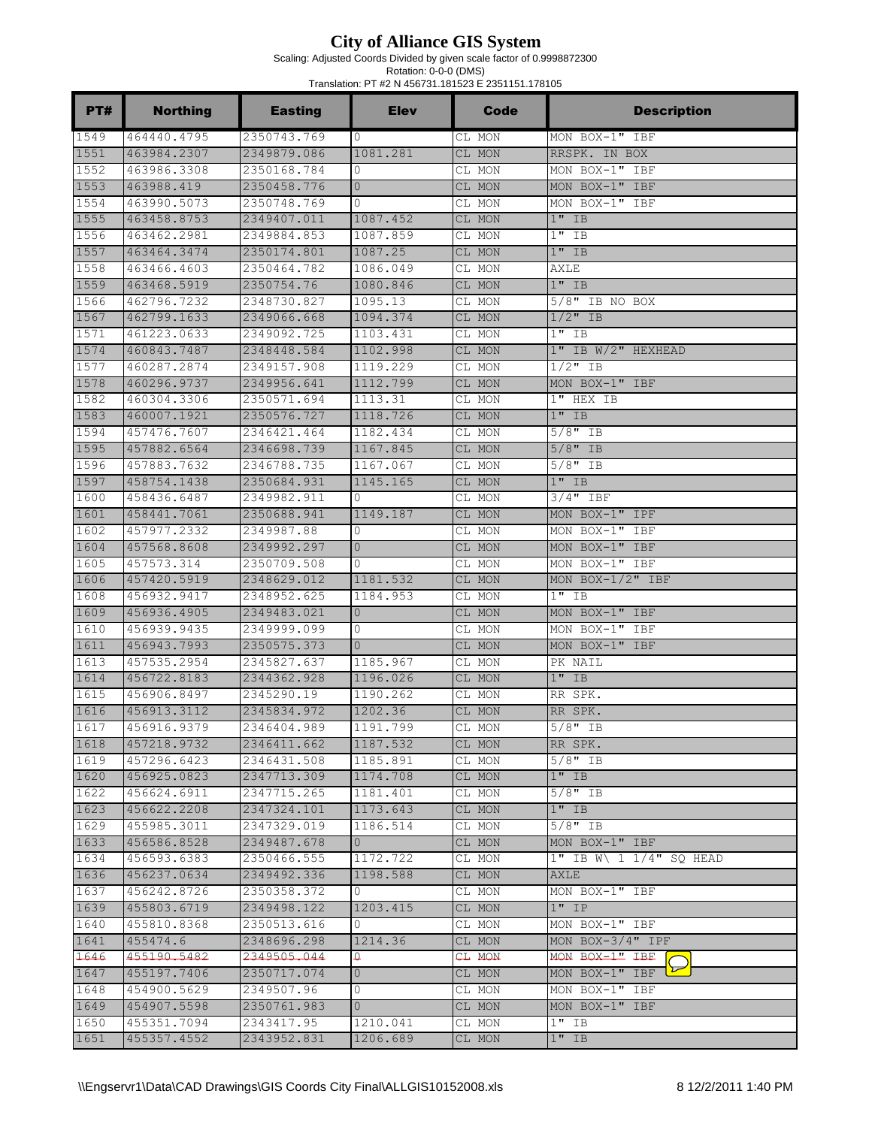Scaling: Adjusted Coords Divided by given scale factor of 0.9998872300

| PT#          | <b>Northing</b>            | <b>Easting</b>             | <b>Elev</b>          | Code             | <b>Description</b>                            |
|--------------|----------------------------|----------------------------|----------------------|------------------|-----------------------------------------------|
| 1549         | 464440.4795                | 2350743.769                | 0                    | CL MON           | MON BOX-1" IBF                                |
| 1551         | 463984.2307                | 2349879.086                | 1081.281             | CL MON           | RRSPK. IN BOX                                 |
| 1552         | 463986.3308                | 2350168.784                | 0                    | CL MON           | MON BOX-1" IBF                                |
| 1553         | 463988.419                 | 2350458.776                | $\mathbf{0}$         | CL MON           | MON BOX-1" IBF                                |
| 1554         | 463990.5073                | 2350748.769                | 0                    | CL MON           | MON BOX-1" IBF                                |
| 1555         | 463458.8753                | 2349407.011                | 1087.452             | CL MON           | $1"$ IB                                       |
| 1556         | 463462.2981                | 2349884.853                | 1087.859             | CL MON           | $1"$ IB                                       |
| 1557         | 463464.3474                | 2350174.801                | 1087.25              | CL MON           | $1"$ IB                                       |
| 1558         | 463466.4603                | 2350464.782                | 1086.049             | CL MON           | AXLE                                          |
| 1559         | 463468.5919                | 2350754.76                 | 1080.846             | CL MON           | $1"$ IB                                       |
| 1566         | 462796.7232                | 2348730.827                | 1095.13              | CL MON           | $5/8"$ IB NO BOX                              |
| 1567         | 462799.1633                | 2349066.668                | 1094.374             | CL MON           | $1/2$ " IB                                    |
| 1571         | 461223.0633                | 2349092.725                | 1103.431             | CL MON           | $1"$ IB                                       |
| 1574         | 460843.7487                | 2348448.584                | 1102.998             | CL MON           | 1" IB W/2" HEXHEAD                            |
| 1577<br>1578 | 460287.2874                | 2349157.908                | 1119.229             | CL MON           | $1/2$ " IB                                    |
|              | 460296.9737                | 2349956.641                | 1112.799             | CL MON           | MON BOX-1" IBF                                |
| 1582<br>1583 | 460304.3306                | 2350571.694<br>2350576.727 | 1113.31              | CL MON<br>CL MON | 1" HEX IB<br>$1"$ IB                          |
| 1594         | 460007.1921<br>457476.7607 | 2346421.464                | 1118.726<br>1182.434 | CL MON           | $5/8"$ IB                                     |
| 1595         | 457882.6564                | 2346698.739                | 1167.845             | CL MON           | $5/8"$ IB                                     |
| 1596         | 457883.7632                | 2346788.735                | 1167.067             | CL MON           | $5/8$ <sup><math>\overline{1}</math></sup> IB |
| 1597         | 458754.1438                | 2350684.931                | 1145.165             | CL MON           | $1"$ IB                                       |
| 1600         | 458436.6487                | 2349982.911                | $\mathbf 0$          | CL MON           | $3/4"$ IBF                                    |
| 1601         | 458441.7061                | 2350688.941                | 1149.187             | CL MON           | MON BOX-1" IPF                                |
| 1602         | 457977.2332                | 2349987.88                 | 0                    | CL MON           | MON BOX-1" IBF                                |
| 1604         | 457568.8608                | 2349992.297                | $\mathbf{0}$         | CL MON           | MON BOX-1" IBF                                |
| 1605         | 457573.314                 | 2350709.508                | 0                    | CL MON           | MON BOX-1" IBF                                |
| 1606         | 457420.5919                | 2348629.012                | 1181.532             | CL MON           | MON BOX- $1/2$ " IBF                          |
| 1608         | 456932.9417                | 2348952.625                | 1184.953             | CL MON           | $1"$ IB                                       |
| 1609         | 456936.4905                | 2349483.021                | $\mathbf{0}$         | CL MON           | MON BOX-1" IBF                                |
| 1610         | 456939.9435                | 2349999.099                | 0                    | CL MON           | MON BOX-1" IBF                                |
| 1611         | 456943.7993                | 2350575.373                | $\Omega$             | CL MON           | MON BOX-1" IBF                                |
| 1613         | 457535.2954                | 2345827.637                | 1185.967             | CL MON           | PK NAIL                                       |
| 1614         | 456722.8183                | 2344362.928                | 1196.026             | CL MON           | $1"$ IB                                       |
| 1615         | 456906.8497                | 2345290.19                 | 1190.262             | CL MON           | RR SPK.                                       |
| 1616         | 456913.3112                | 2345834.972                | 1202.36              | CL MON           | RR SPK.                                       |
| 1617         | 456916.9379                | 2346404.989                | 1191.799             | CL MON           | $5/8$ " IB                                    |
| 1618         | 457218.9732                | 2346411.662                | 1187.532             | CL MON           | RR SPK.                                       |
| 1619         | 457296.6423                | 2346431.508                | 1185.891             | CL MON           | $5/8"$ IB                                     |
| 1620         | 456925.0823                | 2347713.309                | 1174.708             | CL MON           | $1"$ IB                                       |
| 1622         | 456624.6911                | 2347715.265                | 1181.401             | CL MON           | $5/8"$ IB                                     |
| 1623         | 456622.2208                | 2347324.101                | 1173.643             | CL MON           | $1"$ IB                                       |
| 1629         | 455985.3011                | 2347329.019                | 1186.514             | CL MON           | $5/8"$ IB                                     |
| 1633         | 456586.8528                | 2349487.678                | $\overline{0}$       | CL MON           | MON BOX-1" IBF                                |
| 1634         | 456593.6383                | 2350466.555                | 1172.722             | CL MON           | $1"$ IB W\ 1 1/4" SQ HEAD                     |
| 1636         | 456237.0634                | 2349492.336                | 1198.588             | CL MON           | <b>AXLE</b>                                   |
| 1637         | 456242.8726                | 2350358.372                | $\circ$              | CL MON           | MON BOX-1" IBF                                |
| 1639         | 455803.6719                | 2349498.122                | 1203.415             | CL MON           | $1"$ IP                                       |
| 1640         | 455810.8368                | 2350513.616                | 0                    | CL MON           | MON BOX-1" IBF                                |
| 1641         | 455474.6                   | 2348696.298                | 1214.36              | CL MON           | MON BOX-3/4" IPF                              |
| 1646<br>1647 | 455190.5482                | 2349505.044                | ₽                    | CT MOM           | MON BOX-1" IBF<br>MON BOX-1" IBF              |
|              | 455197.7406                | 2350717.074                | $\overline{0}$       | CL MON           |                                               |
| 1648<br>1649 | 454900.5629<br>454907.5598 | 2349507.96<br>2350761.983  | 0<br>$\overline{0}$  | CL MON           | MON BOX-1" IBF<br>MON BOX-1" IBF              |
| 1650         | 455351.7094                | 2343417.95                 | 1210.041             | CL MON<br>CL MON | $1"$ IB                                       |
| 1651         | 455357.4552                | 2343952.831                | 1206.689             | CL MON           | $1"$ IB                                       |
|              |                            |                            |                      |                  |                                               |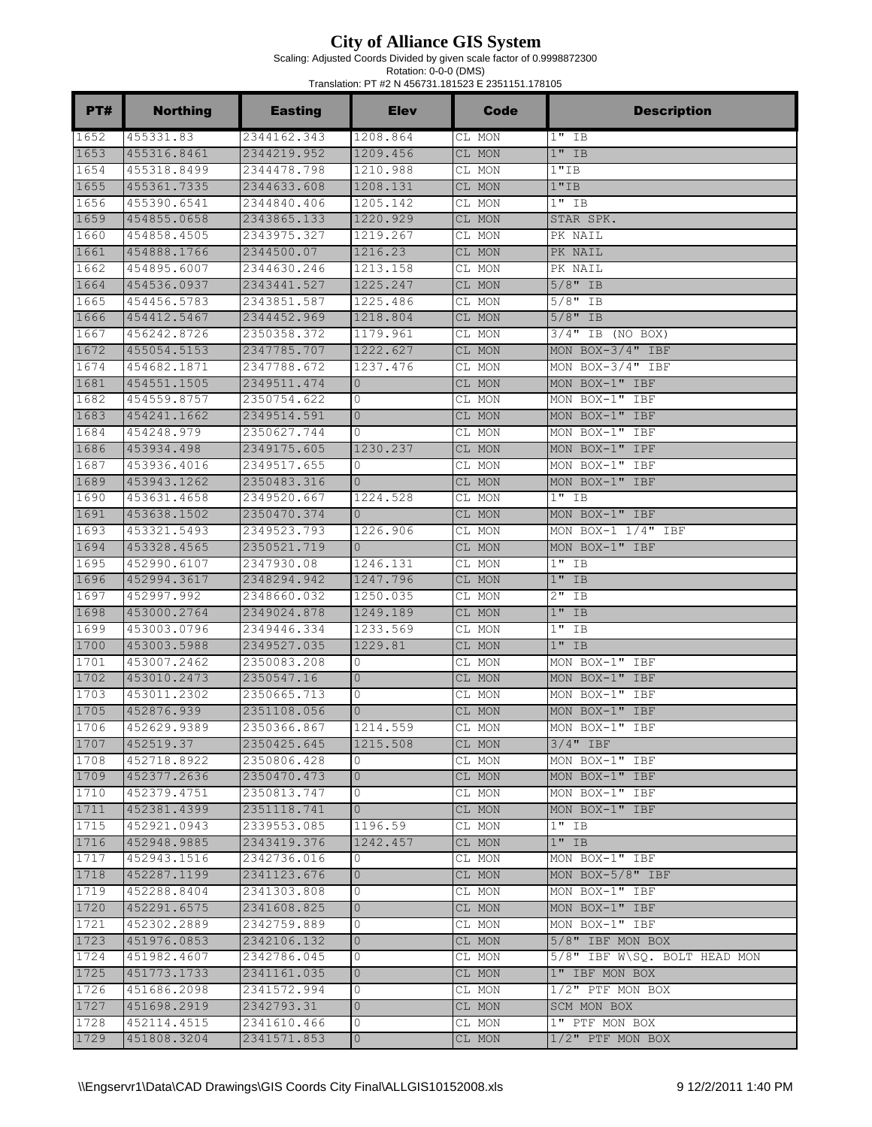Scaling: Adjusted Coords Divided by given scale factor of 0.9998872300

| PT#  | <b>Northing</b> | <b>Easting</b> | <b>Elev</b>    | Code   | <b>Description</b>           |
|------|-----------------|----------------|----------------|--------|------------------------------|
| 1652 | 455331.83       | 2344162.343    | 1208.864       | CL MON | $1"$ IB                      |
| 1653 | 455316.8461     | 2344219.952    | 1209.456       | CL MON | $1"$ IB                      |
| 1654 | 455318.8499     | 2344478.798    | 1210.988       | CL MON | 1"IB                         |
| 1655 | 455361.7335     | 2344633.608    | 1208.131       | CL MON | 1"IB                         |
| 1656 | 455390.6541     | 2344840.406    | 1205.142       | CL MON | $1"$ IB                      |
| 1659 | 454855.0658     | 2343865.133    | 1220.929       | CL MON | STAR SPK.                    |
| 1660 | 454858.4505     | 2343975.327    | 1219.267       | CL MON | PK NAIL                      |
| 1661 | 454888.1766     | 2344500.07     | 1216.23        | CL MON | PK NAIL                      |
| 1662 | 454895.6007     | 2344630.246    | 1213.158       | CL MON | PK NAIL                      |
| 1664 | 454536.0937     | 2343441.527    | 1225.247       | CL MON | $5/8"$ IB                    |
| 1665 | 454456.5783     | 2343851.587    | 1225.486       | CL MON | $5/8"$ IB                    |
| 1666 | 454412.5467     | 2344452.969    | 1218.804       | CL MON | $5/8"$ IB                    |
| 1667 | 456242.8726     | 2350358.372    | 1179.961       | CL MON | 3/4" IB (NO BOX)             |
| 1672 | 455054.5153     | 2347785.707    | 1222.627       | CL MON | MON BOX-3/4" IBF             |
| 1674 | 454682.1871     | 2347788.672    | 1237.476       | CL MON | MON BOX-3/4" IBF             |
| 1681 | 454551.1505     | 2349511.474    | $\mathbf{0}$   | CL MON | MON BOX-1" IBF               |
| 1682 | 454559.8757     | 2350754.622    | 0              | CL MON | MON BOX-1" IBF               |
| 1683 | 454241.1662     | 2349514.591    | $\mathbf{0}$   | CL MON | MON BOX-1" IBF               |
| 1684 | 454248.979      | 2350627.744    | $\Omega$       | CL MON | MON BOX-1" IBF               |
| 1686 | 453934.498      | 2349175.605    | 1230.237       | CL MON | MON BOX-1" IPF               |
| 1687 | 453936.4016     | 2349517.655    | 0              | CL MON | MON BOX-1" IBF               |
| 1689 | 453943.1262     | 2350483.316    | $\Omega$       | CL MON | MON BOX-1" IBF               |
| 1690 | 453631.4658     | 2349520.667    | 1224.528       | CL MON | $1"$ IB                      |
| 1691 | 453638.1502     | 2350470.374    | $\mathbf{0}$   | CL MON | MON BOX-1" IBF               |
| 1693 | 453321.5493     | 2349523.793    | 1226.906       | CL MON | MON BOX-1 $1/4$ " IBF        |
| 1694 | 453328.4565     | 2350521.719    | $\mathbf{0}$   | CL MON | MON BOX-1" IBF               |
| 1695 | 452990.6107     | 2347930.08     | 1246.131       | CL MON | $1"$ IB                      |
| 1696 | 452994.3617     | 2348294.942    | 1247.796       | CL MON | $1"$ IB                      |
| 1697 | 452997.992      | 2348660.032    | 1250.035       | CL MON | $2"$ IB                      |
| 1698 | 453000.2764     | 2349024.878    | 1249.189       | CL MON | $1$ "<br>IB                  |
| 1699 | 453003.0796     | 2349446.334    | 1233.569       | CL MON | 1"<br>IB                     |
| 1700 | 453003.5988     | 2349527.035    | 1229.81        | CL MON | $1"$ IB                      |
| 1701 | 453007.2462     | 2350083.208    | 0              | CL MON | MON BOX-1" IBF               |
| 1702 | 453010.2473     | 2350547.16     | $\overline{0}$ | CL MON | MON BOX-1" IBF               |
| 1703 | 453011.2302     | 2350665.713    | 0              | CL MON | MON BOX-1" IBF               |
| 1705 | 452876.939      | 2351108.056    | $\Omega$       | CL MON | MON BOX-1" IBF               |
| 1706 | 452629.9389     | 2350366.867    | 1214.559       | CL MON | MON BOX-1" IBF               |
| 1707 | 452519.37       | 2350425.645    | 1215.508       | CL MON | $3/4"$ IBF                   |
| 1708 | 452718.8922     | 2350806.428    | 0              | CL MON | MON BOX-1" IBF               |
| 1709 | 452377.2636     | 2350470.473    | $\overline{0}$ | CL MON | MON BOX-1" IBF               |
| 1710 | 452379.4751     | 2350813.747    | 0              | CL MON | MON BOX-1" IBF               |
| 1711 | 452381.4399     | 2351118.741    | $\overline{0}$ | CL MON | MON BOX-1" IBF               |
| 1715 | 452921.0943     | 2339553.085    | 1196.59        | CL MON | $1"$ IB                      |
| 1716 | 452948.9885     | 2343419.376    | 1242.457       | CL MON | $1"$ IB                      |
| 1717 | 452943.1516     | 2342736.016    | 0              | CL MON | MON BOX-1" IBF               |
| 1718 | 452287.1199     | 2341123.676    | $\overline{0}$ | CL MON | MON BOX-5/8" IBF             |
| 1719 | 452288.8404     | 2341303.808    | 0              | CL MON | MON BOX-1" IBF               |
| 1720 | 452291.6575     | 2341608.825    | $\mathbf{0}$   | CL MON | MON BOX-1" IBF               |
| 1721 | 452302.2889     | 2342759.889    | 0              | CL MON | MON BOX-1" IBF               |
| 1723 | 451976.0853     | 2342106.132    | $\overline{0}$ | CL MON | $5/8"$ IBF MON BOX           |
| 1724 | 451982.4607     | 2342786.045    | 0              | CL MON | 5/8" IBF W\SQ. BOLT HEAD MON |
| 1725 | 451773.1733     | 2341161.035    | $\overline{0}$ | CL MON | 1" IBF MON BOX               |
| 1726 | 451686.2098     | 2341572.994    | 0              | CL MON | $1/2$ " PTF MON BOX          |
| 1727 | 451698.2919     | 2342793.31     | $\overline{0}$ | CL MON | SCM MON BOX                  |
| 1728 | 452114.4515     | 2341610.466    | 0              | CL MON | 1" PTF MON BOX               |
| 1729 | 451808.3204     | 2341571.853    | $\overline{0}$ | CL MON | $1/2$ " PTF MON BOX          |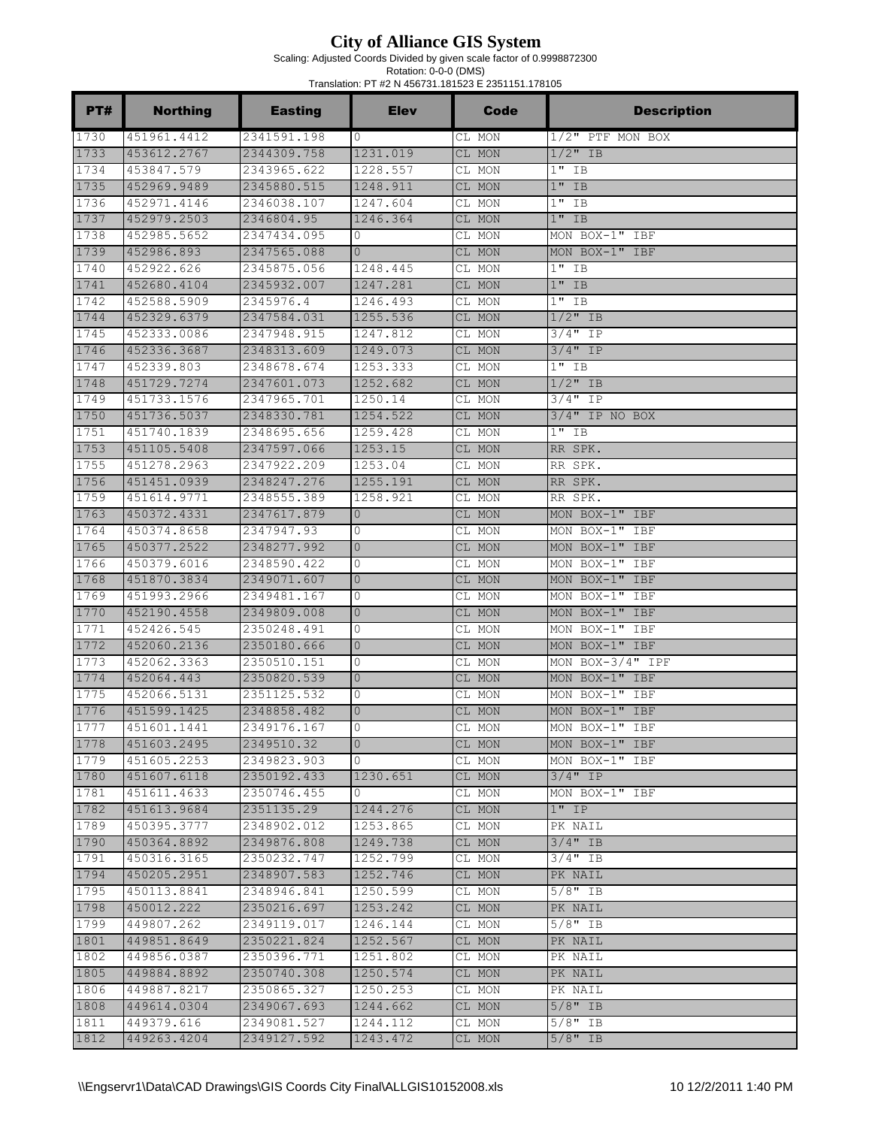Scaling: Adjusted Coords Divided by given scale factor of 0.9998872300

| PT#          | <b>Northing</b>            | <b>Easting</b>             | <b>Elev</b>          | <b>Code</b>      | <b>Description</b>     |
|--------------|----------------------------|----------------------------|----------------------|------------------|------------------------|
| 1730         | 451961.4412                | 2341591.198                | 0                    | CL MON           | $1/2$ " PTF MON BOX    |
| 1733         | 453612.2767                | 2344309.758                | 1231.019             | CL MON           | $1/2$ " IB             |
| 1734         | 453847.579                 | 2343965.622                | 1228.557             | CL MON           | $1"$ IB                |
| 1735         | 452969.9489                | 2345880.515                | 1248.911             | CL MON           | $1"$ IB                |
| 1736         | 452971.4146                | 2346038.107                | 1247.604             | CL MON           | $1"$ IB                |
| 1737         | 452979.2503                | 2346804.95                 | 1246.364             | CL MON           | $1"$ IB                |
| 1738         | 452985.5652                | 2347434.095                | $\mathbf{0}$         | CL MON           | MON BOX-1" IBF         |
| 1739         | 452986.893                 | 2347565.088                | $\Omega$             | CL MON           | MON BOX-1" IBF         |
| 1740         | 452922.626                 | 2345875.056                | 1248.445             | CL MON           | $1"$ IB                |
| 1741         | 452680.4104                | 2345932.007                | 1247.281             | CL MON           | $1"$ IB                |
| 1742         | 452588.5909                | 2345976.4                  | 1246.493             | CL MON           | $1"$ IB                |
| 1744         | 452329.6379                | 2347584.031                | 1255.536             | CL MON           | $1/2$ " IB             |
| 1745         | 452333.0086                | 2347948.915                | 1247.812             | CL MON           | $3/4"$ IP              |
| 1746         | 452336.3687                | 2348313.609                | 1249.073             | CL MON           | 3/4" IP                |
| 1747         | 452339.803                 | 2348678.674                | 1253.333             | CL MON           | $1"$ IB                |
| 1748         | 451729.7274                | 2347601.073                | 1252.682             | CL MON           | $1/2$ " IB             |
| 1749         | 451733.1576<br>451736.5037 | 2347965.701                | 1250.14              | CL MON           | $3/4"$ IP              |
| 1750<br>1751 | 451740.1839                | 2348330.781<br>2348695.656 | 1254.522<br>1259.428 | CL MON           | $3/4"$ IP NO BOX       |
| 1753         | 451105.5408                | 2347597.066                | 1253.15              | CL MON           | $1$ "<br>IB<br>RR SPK. |
| 1755         | 451278.2963                | 2347922.209                | 1253.04              | CL MON<br>CL MON | RR SPK.                |
| 1756         | 451451.0939                | 2348247.276                | 1255.191             | CL MON           | RR SPK.                |
| 1759         | 451614.9771                | 2348555.389                | 1258.921             | CL MON           | RR SPK.                |
| 1763         | 450372.4331                | 2347617.879                | $\mathbf{0}$         | CL MON           | MON BOX-1" IBF         |
| 1764         | 450374.8658                | 2347947.93                 | 0                    | CL MON           | MON BOX-1" IBF         |
| 1765         | 450377.2522                | 2348277.992                | $\mathbf{0}$         | CL MON           | MON BOX-1" IBF         |
| 1766         | 450379.6016                | 2348590.422                | 0                    | CL MON           | MON BOX-1" IBF         |
| 1768         | 451870.3834                | 2349071.607                | $\mathbf{0}$         | CL MON           | MON BOX-1" IBF         |
| 1769         | 451993.2966                | 2349481.167                | 0                    | CL MON           | MON BOX-1" IBF         |
| 1770         | 452190.4558                | 2349809.008                | $\mathbf{0}$         | CL MON           | MON BOX-1" IBF         |
| 1771         | 452426.545                 | 2350248.491                | 0                    | CL MON           | MON BOX-1" IBF         |
| 1772         | 452060.2136                | 2350180.666                | $\overline{0}$       | CL MON           | MON BOX-1" IBF         |
| 1773         | 452062.3363                | 2350510.151                | 0                    | CL MON           | MON BOX-3/4" IPF       |
| 1774         | 452064.443                 | 2350820.539                | $\mathbf{0}$         | CL MON           | MON BOX-1" IBF         |
| 1775         | 452066.5131                | 2351125.532                | 0                    | CL MON           | MON BOX-1" IBF         |
| 1776         | 451599.1425                | 2348858.482                | $\overline{0}$       | CL MON           | MON BOX-1" IBF         |
| 1777         | 451601.1441                | 2349176.167                | $\mathbf{0}$         | CL MON           | MON BOX-1" IBF         |
| 1778         | 451603.2495                | 2349510.32                 | $\mathbf{0}$         | CL MON           | MON BOX-1" IBF         |
| 1779         | 451605.2253                | 2349823.903                | 0                    | CL MON           | MON BOX-1" IBF         |
| 1780         | 451607.6118                | 2350192.433                | 1230.651             | CL MON           | $3/4$ " IP             |
| 1781         | 451611.4633                | 2350746.455                | 0                    | CL MON           | MON BOX-1" IBF         |
| 1782         | 451613.9684                | 2351135.29                 | 1244.276             | CL MON           | $1"$ IP                |
| 1789         | 450395.3777                | 2348902.012                | 1253.865             | CL MON           | PK NAIL                |
| 1790         | 450364.8892                | 2349876.808                | 1249.738             | CL MON           | $3/4"$ IB              |
| 1791         | 450316.3165                | 2350232.747                | 1252.799             | CL MON           | $3/4$ " IB             |
| 1794         | 450205.2951                | 2348907.583                | 1252.746             | CL MON           | PK NAIL                |
| 1795         | 450113.8841                | 2348946.841                | 1250.599             | CL MON           | $5/8"$ IB              |
| 1798         | 450012.222                 | 2350216.697                | 1253.242             | CL MON           | PK NAIL                |
| 1799         | 449807.262                 | 2349119.017                | 1246.144             | CL MON           | $5/8"$ IB              |
| 1801         | 449851.8649                | 2350221.824                | 1252.567             | CL MON           | PK NAIL                |
| 1802         | 449856.0387                | 2350396.771                | 1251.802             | CL MON           | PK NAIL                |
| 1805         | 449884.8892                | 2350740.308                | 1250.574             | CL MON           | PK NAIL                |
| 1806         | 449887.8217                | 2350865.327                | 1250.253             | CL MON           | PK NAIL                |
| 1808         | 449614.0304                | 2349067.693                | 1244.662             | CL MON           | $5/8"$ IB              |
| 1811         | 449379.616                 | 2349081.527                | 1244.112             | CL MON           | $5/8"$ IB              |
| 1812         | 449263.4204                | 2349127.592                | 1243.472             | CL MON           | $5/8"$ IB              |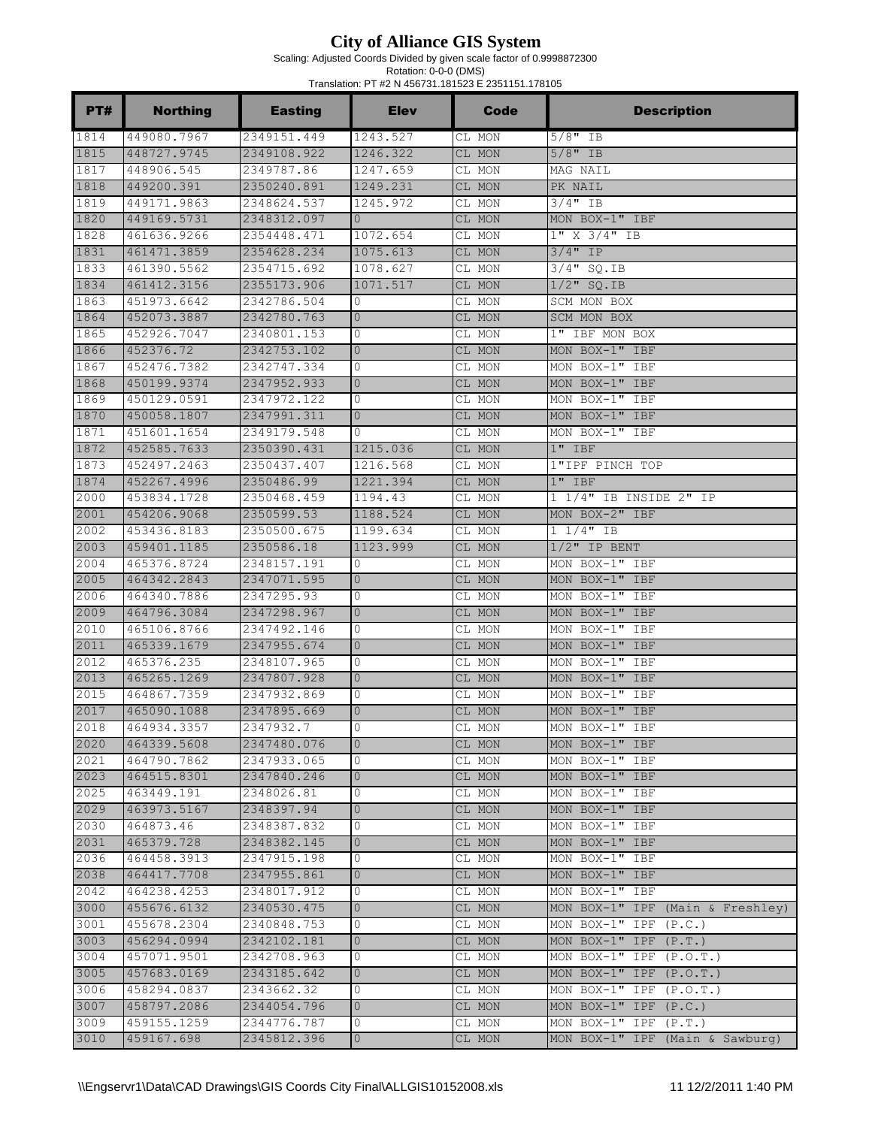Scaling: Adjusted Coords Divided by given scale factor of 0.9998872300

| PT#          | <b>Northing</b>           | <b>Easting</b>             | <b>Elev</b>       | Code             | <b>Description</b>                         |
|--------------|---------------------------|----------------------------|-------------------|------------------|--------------------------------------------|
| 1814         | 449080.7967               | 2349151.449                | 1243.527          | CL MON           | $5/8"$ IB                                  |
| 1815         | 448727.9745               | 2349108.922                | 1246.322          | CL MON           | $5/8"$ IB                                  |
| 1817         | 448906.545                | 2349787.86                 | 1247.659          | CL MON           | MAG NAIL                                   |
| 1818         | 449200.391                | 2350240.891                | 1249.231          | CL MON           | PK NAIL                                    |
| 1819         | 449171.9863               | 2348624.537                | 1245.972          | CL MON           | $3/4$ " IB                                 |
| 1820         | 449169.5731               | 2348312.097                | $\Omega$          | CL MON           | MON BOX-1" IBF                             |
| 1828         | 461636.9266               | 2354448.471                | 1072.654          | CL MON           | 1" X 3/4" IB                               |
| 1831         | 461471.3859               | 2354628.234                | 1075.613          | CL MON           | $3/4"$ IP                                  |
| 1833         | 461390.5562               | 2354715.692                | 1078.627          | CL MON           | $3/4"$ SQ.IB                               |
| 1834         | 461412.3156               | 2355173.906                | 1071.517          | CL MON           | $1/2$ " SQ.IB                              |
| 1863         | 451973.6642               | 2342786.504                | $\mathbf{0}$      | CL MON           | SCM MON BOX                                |
| 1864         | 452073.3887               | 2342780.763                | $\mathbf{0}$      | CL MON           | SCM MON BOX                                |
| 1865         | 452926.7047               | 2340801.153                | $\mathbf{0}$      | CL MON           | 1" IBF MON BOX                             |
| 1866         | 452376.72                 | 2342753.102                | $\mathbf{0}$      | CL MON           | MON BOX-1" IBF                             |
| 1867         | 452476.7382               | 2342747.334                | 0                 | CL MON           | MON BOX-1" IBF                             |
| 1868         | 450199.9374               | 2347952.933                | $\mathbf{0}$      | CL MON           | MON BOX-1" IBF                             |
| 1869         | 450129.0591               | 2347972.122                | 0                 | CL MON           | MON BOX-1" IBF                             |
| 1870         | 450058.1807               | 2347991.311                | $\overline{0}$    | CL MON           | MON BOX-1" IBF                             |
| 1871         | 451601.1654               | 2349179.548                | $\Omega$          | CL MON           | MON BOX-1"<br>IBF                          |
| 1872         | 452585.7633               | 2350390.431                | 1215.036          | CL MON           | $1"$ IBF                                   |
| 1873         | 452497.2463               | 2350437.407                | 1216.568          | CL MON           | 1"IPF PINCH TOP                            |
| 1874         | 452267.4996               | 2350486.99                 | 1221.394          | CL MON           | $1"$ IBF                                   |
| 2000         | 453834.1728               | 2350468.459                | 1194.43           | CL MON           | 1 1/4" IB INSIDE 2" IP                     |
| 2001         | 454206.9068               | 2350599.53                 | 1188.524          | CL MON           | MON BOX-2" IBF                             |
| 2002         | 453436.8183               | 2350500.675                | 1199.634          | CL MON           | $1 1/4"$ IB                                |
| 2003         | 459401.1185               | 2350586.18                 | 1123.999          | CL MON           | $1/2$ " IP BENT                            |
| 2004         | 465376.8724               | 2348157.191                | 0                 | CL MON           | MON BOX-1" IBF                             |
| 2005         | 464342.2843               | 2347071.595                | $\mathbf{0}$      | CL MON           | MON BOX-1" IBF                             |
| 2006         | 464340.7886               | 2347295.93                 | 0                 | CL MON           | MON BOX-1" IBF                             |
| 2009         | 464796.3084               | 2347298.967                | $\mathbf{0}$      | CL MON           | MON BOX-1" IBF                             |
| 2010<br>2011 | 465106.8766               | 2347492.146                | 0                 | CL MON           | MON BOX-1" IBF                             |
| 2012         | 465339.1679               | 2347955.674                | $\mathbf{0}$      | CL MON           | MON BOX-1" IBF                             |
| 2013         | 465376.235<br>465265.1269 | 2348107.965<br>2347807.928 | 0<br>$\mathbf{0}$ | CL MON<br>CL MON | MON BOX-1"<br><b>IBF</b><br>MON BOX-1" IBF |
| 2015         | 464867.7359               | 2347932.869                | 0                 | CL MON           | MON BOX-1" IBF                             |
| 2017         | 465090.1088               | 2347895.669                | $\overline{0}$    |                  | MON BOX-1" IBF                             |
| 2018         | 464934.3357               | 2347932.7                  | $\Omega$          | CL MON<br>CL MON | MON BOX-1" IBF                             |
| 2020         | 464339.5608               | 2347480.076                | $\mathbf{0}$      | CL MON           | MON BOX-1" IBF                             |
| 2021         | 464790.7862               | 2347933.065                | 0                 | CL MON           | MON BOX-1" IBF                             |
| 2023         | 464515.8301               | 2347840.246                | $\circ$           | CL MON           | MON BOX-1" IBF                             |
| 2025         | 463449.191                | 2348026.81                 | 0                 | CL MON           | MON BOX-1" IBF                             |
| 2029         | 463973.5167               | 2348397.94                 | $\circ$           | CL MON           | MON BOX-1" IBF                             |
| 2030         | 464873.46                 | 2348387.832                | 0                 | CL MON           | MON BOX-1" IBF                             |
| 2031         | 465379.728                | 2348382.145                | $\mathbf{0}$      | CL MON           | MON BOX-1" IBF                             |
| 2036         | 464458.3913               | 2347915.198                | 0                 | CL MON           | MON BOX-1" IBF                             |
| 2038         | 464417.7708               | 2347955.861                | $\overline{0}$    | CL MON           | MON BOX-1" IBF                             |
| 2042         | 464238.4253               | 2348017.912                | 0                 | CL MON           | MON BOX-1" IBF                             |
| 3000         | 455676.6132               | 2340530.475                | $\mathbf{0}$      | CL MON           | MON BOX-1" IPF (Main & Freshley)           |
| 3001         | 455678.2304               | 2340848.753                | 0                 | CL MON           | MON BOX-1" IPF $(P.C.)$                    |
| 3003         | 456294.0994               | 2342102.181                | $\mathbf{0}$      | CL MON           | MON BOX-1" IPF $(P.T.)$                    |
| 3004         | 457071.9501               | 2342708.963                | 0                 | CL MON           | MON BOX-1" IPF<br>(P.O.T.)                 |
| 3005         | 457683.0169               | 2343185.642                | $\circ$           | CL MON           | MON BOX-1" IPF $(P.O.T.)$                  |
| 3006         | 458294.0837               | 2343662.32                 | 0                 | CL MON           | MON BOX-1" IPF $(P.O.T.)$                  |
| 3007         | 458797.2086               | 2344054.796                | $\circ$           | CL MON           | MON BOX-1" IPF $(P.C.)$                    |
| 3009         | 459155.1259               | 2344776.787                | 0                 | CL MON           | MON BOX-1" IPF $(P.T.)$                    |
| 3010         | 459167.698                | 2345812.396                | $\mathbf{0}$      | CL MON           | MON BOX-1" IPF (Main & Sawburg)            |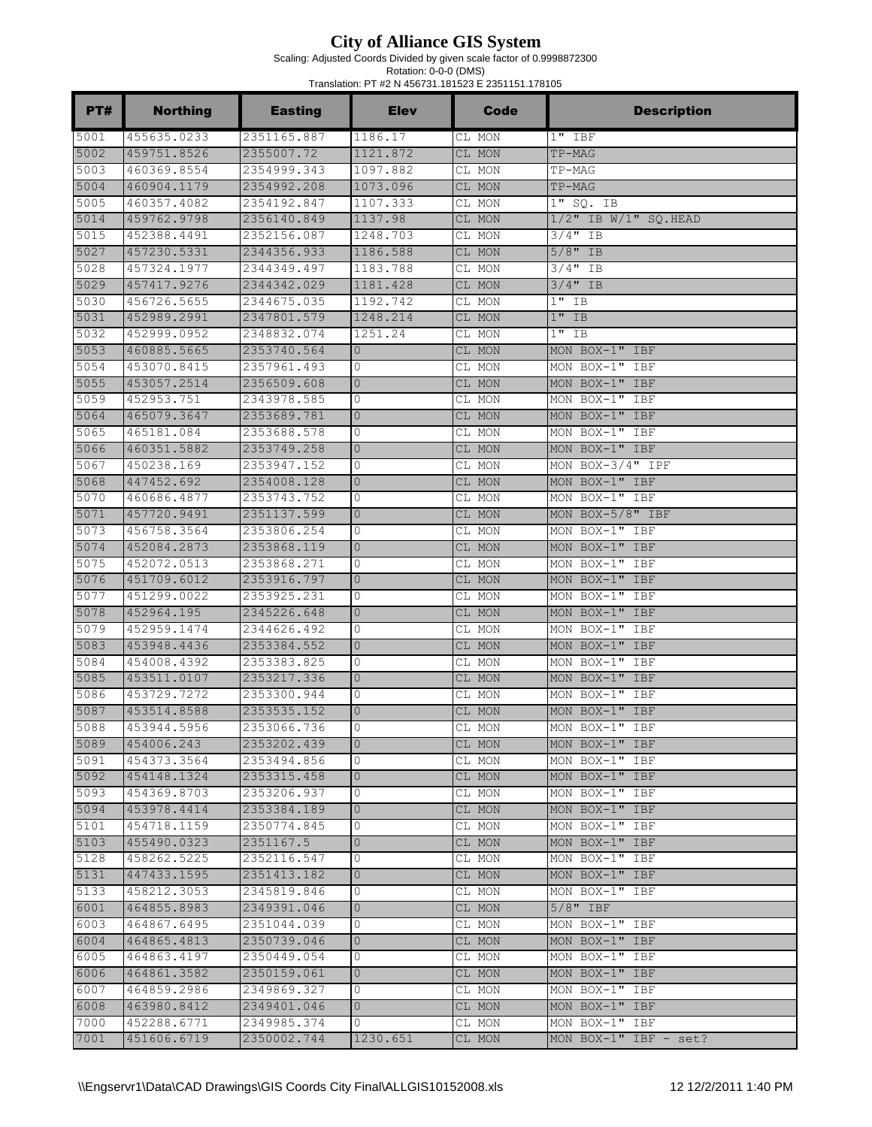Scaling: Adjusted Coords Divided by given scale factor of 0.9998872300

| <b>PT#</b>   | <b>Northing</b>            | <b>Easting</b>             | <b>Elev</b>                    | <b>Code</b>      | <b>Description</b>                  |
|--------------|----------------------------|----------------------------|--------------------------------|------------------|-------------------------------------|
| 5001         | 455635.0233                | 2351165.887                | 1186.17                        | CL MON           | $1"$ IBF                            |
| 5002         | 459751.8526                | 2355007.72                 | 1121.872                       | CL MON           | TP-MAG                              |
| 5003         | 460369.8554                | 2354999.343                | 1097.882                       | CL MON           | TP-MAG                              |
| 5004         | 460904.1179                | 2354992.208                | 1073.096                       | CL MON           | TP-MAG                              |
| 5005         | 460357.4082                | 2354192.847                | 1107.333                       | CL MON           | $1"$ SQ. IB                         |
| 5014         | 459762.9798                | 2356140.849                | 1137.98                        | CL MON           | $1/2"$ IB W/1" SQ.HEAD              |
| 5015         | 452388.4491                | 2352156.087                | 1248.703                       | CL MON           | $3/4"$ IB                           |
| 5027         | 457230.5331                | 2344356.933                | 1186.588                       | CL MON           | $5/8"$ IB                           |
| 5028         | 457324.1977                | 2344349.497                | 1183.788                       | CL MON           | $3/4$ " IB                          |
| 5029         | 457417.9276                | 2344342.029                | 1181.428                       | CL MON           | $3/4$ " IB                          |
| 5030         | 456726.5655                | 2344675.035                | 1192.742                       | CL MON           | $1"$ IB                             |
| 5031         | 452989.2991                | 2347801.579                | 1248.214                       | CL MON           | $1"$ IB                             |
| 5032         | 452999.0952                | 2348832.074                | 1251.24                        | CL MON           | $1"$ IB                             |
| 5053         | 460885.5665                | 2353740.564                | $\mathbf{0}$                   | CL MON           | MON BOX-1" IBF                      |
| 5054         | 453070.8415                | 2357961.493                | 0                              | CL MON           | MON BOX-1" IBF                      |
| 5055         | 453057.2514                | 2356509.608                | $\mathbf{0}$                   | CL MON           | MON BOX-1" IBF                      |
| 5059         | 452953.751                 | 2343978.585                | 0                              | CL MON           | MON BOX-1"<br>IBF                   |
| 5064         | 465079.3647                | 2353689.781                | $\overline{0}$                 | CL MON           | MON BOX-1" IBF                      |
| 5065         | 465181.084                 | 2353688.578                | 0                              | CL MON           | MON BOX-1"<br>IBF                   |
| 5066         | 460351.5882                | 2353749.258                | $\mathbf{0}$                   | CL MON           | MON BOX-1" IBF                      |
| 5067         | 450238.169                 | 2353947.152                | 0                              | CL MON           | MON BOX-3/4" IPF                    |
| 5068         | 447452.692                 | 2354008.128                | $\Omega$                       | CL MON           | MON BOX-1" IBF                      |
| 5070         | 460686.4877                | 2353743.752                | 0                              | CL MON           | MON BOX-1" IBF                      |
| 5071         | 457720.9491                | 2351137.599                | $\overline{0}$                 | CL MON           | MON BOX-5/8" IBF                    |
| 5073         | 456758.3564                | 2353806.254                | 0                              | CL MON           | MON BOX-1" IBF                      |
| 5074         | 452084.2873                | 2353868.119                | $\overline{0}$                 | CL MON           | MON BOX-1" IBF                      |
| 5075         | 452072.0513                | 2353868.271                | 0                              | CL MON           | MON BOX-1"<br>IBF                   |
| 5076         | 451709.6012                | 2353916.797                | $\mathbf{0}$                   | CL MON           | MON BOX-1" IBF                      |
| 5077         | 451299.0022                | 2353925.231                | 0                              | CL MON           | MON BOX-1"<br>IBF                   |
| 5078         | 452964.195                 | 2345226.648                | $\mathbf{0}$                   | CL MON           | MON BOX-1" IBF                      |
| 5079         | 452959.1474                | 2344626.492                | 0                              | CL MON           | MON BOX-1"<br>IBF                   |
| 5083         | 453948.4436                | 2353384.552                | $\overline{0}$                 | CL MON           | MON BOX-1" IBF                      |
| 5084         | 454008.4392<br>453511.0107 | 2353383.825                | 0<br>$\overline{0}$            | CL MON           | MON BOX-1"<br>IBF<br>MON BOX-1" IBF |
| 5085         |                            | 2353217.336                |                                | CL MON           |                                     |
| 5086<br>5087 | 453729.7272                | 2353300.944                | 0                              | CL MON           | MON BOX-1" IBF<br>MON BOX-1" IBF    |
|              | 453514.8588                | 2353535.152                | $\overline{0}$<br>$\mathbf{0}$ | CL MON           |                                     |
| 5088<br>5089 | 453944.5956<br>454006.243  | 2353066.736<br>2353202.439 | $\mathbf{0}$                   | CL MON           | MON BOX-1" IBF                      |
| 5091         |                            |                            |                                | CL MON           | MON BOX-1" IBF                      |
| 5092         | 454373.3564<br>454148.1324 | 2353494.856<br>2353315.458 | 0<br>$\overline{0}$            | CL MON           | MON BOX-1" IBF                      |
| 5093         | 454369.8703                | 2353206.937                | 0                              | CL MON           | MON BOX-1" IBF<br>MON BOX-1" IBF    |
| 5094         | 453978.4414                | 2353384.189                | $\overline{0}$                 | CL MON<br>CL MON | MON BOX-1" IBF                      |
| 5101         | 454718.1159                | 2350774.845                | 0                              | CL MON           | MON BOX-1" IBF                      |
| 5103         | 455490.0323                | 2351167.5                  | $\mathbf{0}$                   | CL MON           | MON BOX-1" IBF                      |
| 5128         | 458262.5225                | 2352116.547                | 0                              | CL MON           | MON BOX-1" IBF                      |
| 5131         | 447433.1595                | 2351413.182                | $\overline{0}$                 | CL MON           | MON BOX-1" IBF                      |
| 5133         | 458212.3053                | 2345819.846                | 0                              | CL MON           | MON BOX-1" IBF                      |
| 6001         | 464855.8983                | 2349391.046                | $\overline{0}$                 | CL MON           | $5/8"$ IBF                          |
| 6003         | 464867.6495                | 2351044.039                | 0                              | CL MON           | MON BOX-1" IBF                      |
| 6004         | 464865.4813                | 2350739.046                | $\mathbf{0}$                   | CL MON           | MON BOX-1" IBF                      |
| 6005         | 464863.4197                | 2350449.054                | 0                              | CL MON           | MON BOX-1" IBF                      |
| 6006         | 464861.3582                | 2350159.061                | $\mathbf{0}$                   | CL MON           | MON BOX-1" IBF                      |
| 6007         | 464859.2986                | 2349869.327                | 0                              | CL MON           | MON BOX-1" IBF                      |
| 6008         | 463980.8412                | 2349401.046                | $\overline{0}$                 | CL MON           | MON BOX-1" IBF                      |
| 7000         | 452288.6771                | 2349985.374                | 0                              | CL MON           | MON BOX-1" IBF                      |
| 7001         | 451606.6719                | 2350002.744                | 1230.651                       | CL MON           | MON BOX-1" IBF - set?               |
|              |                            |                            |                                |                  |                                     |